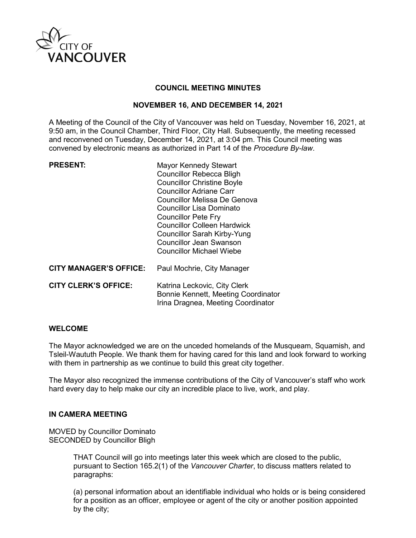

### **COUNCIL MEETING MINUTES**

### **NOVEMBER 16, AND DECEMBER 14, 2021**

A Meeting of the Council of the City of Vancouver was held on Tuesday, November 16, 2021, at 9:50 am, in the Council Chamber, Third Floor, City Hall. Subsequently, the meeting recessed and reconvened on Tuesday, December 14, 2021, at 3:04 pm. This Council meeting was convened by electronic means as authorized in Part 14 of the *Procedure By-law*.

| <b>PRESENT:</b> |
|-----------------|
|-----------------|

**Mayor Kennedy Stewart** Councillor Rebecca Bligh Councillor Christine Boyle Councillor Adriane Carr Councillor Melissa De Genova Councillor Lisa Dominato Councillor Pete Fry Councillor Colleen Hardwick Councillor Sarah Kirby-Yung Councillor Jean Swanson Councillor Michael Wiebe

**CITY MANAGER'S OFFICE:** Paul Mochrie, City Manager

| <b>CITY CLERK'S OFFICE:</b> | Katrina Leckovic, City Clerk        |
|-----------------------------|-------------------------------------|
|                             | Bonnie Kennett, Meeting Coordinator |
|                             | Irina Dragnea, Meeting Coordinator  |

#### **WELCOME**

The Mayor acknowledged we are on the unceded homelands of the Musqueam, Squamish, and Tsleil-Waututh People. We thank them for having cared for this land and look forward to working with them in partnership as we continue to build this great city together.

The Mayor also recognized the immense contributions of the City of Vancouver's staff who work hard every day to help make our city an incredible place to live, work, and play.

## **IN CAMERA MEETING**

MOVED by Councillor Dominato SECONDED by Councillor Bligh

> THAT Council will go into meetings later this week which are closed to the public, pursuant to Section 165.2(1) of the *Vancouver Charter*, to discuss matters related to paragraphs:

(a) personal information about an identifiable individual who holds or is being considered for a position as an officer, employee or agent of the city or another position appointed by the city;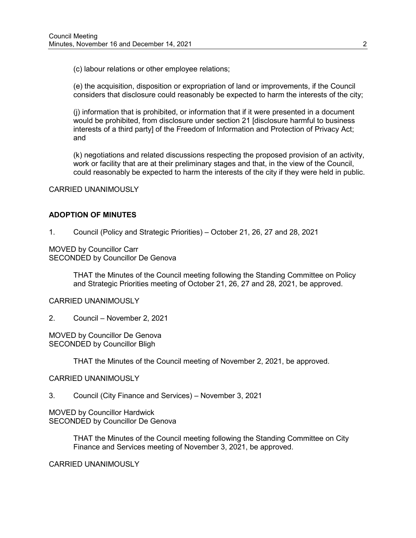(c) labour relations or other employee relations;

(e) the acquisition, disposition or expropriation of land or improvements, if the Council considers that disclosure could reasonably be expected to harm the interests of the city;

(j) information that is prohibited, or information that if it were presented in a document would be prohibited, from disclosure under section 21 [disclosure harmful to business interests of a third party] of the Freedom of Information and Protection of Privacy Act; and

(k) negotiations and related discussions respecting the proposed provision of an activity, work or facility that are at their preliminary stages and that, in the view of the Council, could reasonably be expected to harm the interests of the city if they were held in public.

CARRIED UNANIMOUSLY

### **ADOPTION OF MINUTES**

1. Council (Policy and Strategic Priorities) – October 21, 26, 27 and 28, 2021

MOVED by Councillor Carr SECONDED by Councillor De Genova

> THAT the Minutes of the Council meeting following the Standing Committee on Policy and Strategic Priorities meeting of October 21, 26, 27 and 28, 2021, be approved.

CARRIED UNANIMOUSLY

2. Council – November 2, 2021

MOVED by Councillor De Genova SECONDED by Councillor Bligh

THAT the Minutes of the Council meeting of November 2, 2021, be approved.

#### CARRIED UNANIMOUSLY

#### 3. Council (City Finance and Services) – November 3, 2021

MOVED by Councillor Hardwick SECONDED by Councillor De Genova

> THAT the Minutes of the Council meeting following the Standing Committee on City Finance and Services meeting of November 3, 2021, be approved.

CARRIED UNANIMOUSLY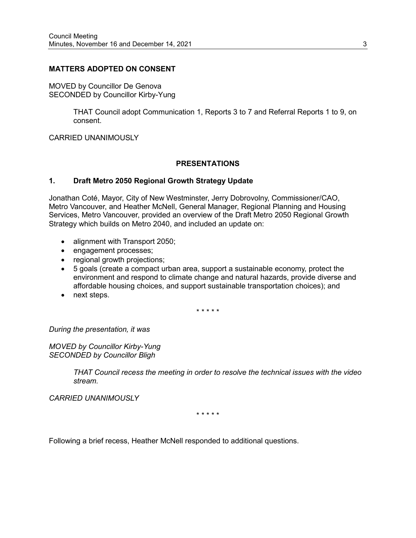### **MATTERS ADOPTED ON CONSENT**

MOVED by Councillor De Genova SECONDED by Councillor Kirby-Yung

> THAT Council adopt Communication 1, Reports 3 to 7 and Referral Reports 1 to 9, on consent.

CARRIED UNANIMOUSLY

#### **PRESENTATIONS**

#### **1. Draft Metro 2050 Regional Growth Strategy Update**

Jonathan Coté, Mayor, City of New Westminster, Jerry Dobrovolny, Commissioner/CAO, Metro Vancouver, and Heather McNell, General Manager, Regional Planning and Housing Services, Metro Vancouver, provided an overview of the Draft Metro 2050 Regional Growth Strategy which builds on Metro 2040, and included an update on:

- alignment with Transport 2050;
- engagement processes;
- regional growth projections;
- 5 goals (create a compact urban area, support a sustainable economy, protect the environment and respond to climate change and natural hazards, provide diverse and affordable housing choices, and support sustainable transportation choices); and
- next steps.

\* \* \* \* \*

*During the presentation, it was*

*MOVED by Councillor Kirby-Yung SECONDED by Councillor Bligh*

> *THAT Council recess the meeting in order to resolve the technical issues with the video stream.*

*CARRIED UNANIMOUSLY*

\* \* \* \* \*

Following a brief recess, Heather McNell responded to additional questions.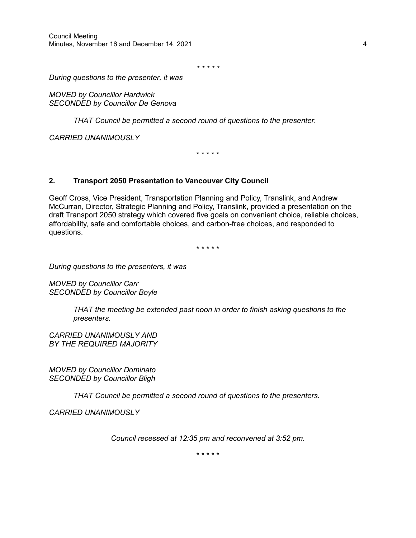*\* \* \* \* \**

*During questions to the presenter, it was* 

*MOVED by Councillor Hardwick SECONDED by Councillor De Genova*

*THAT Council be permitted a second round of questions to the presenter.*

*CARRIED UNANIMOUSLY*

\* \* \* \* \*

#### **2. Transport 2050 Presentation to Vancouver City Council**

Geoff Cross, Vice President, Transportation Planning and Policy, Translink, and Andrew McCurran, Director, Strategic Planning and Policy, Translink, provided a presentation on the draft Transport 2050 strategy which covered five goals on convenient choice, reliable choices, affordability, safe and comfortable choices, and carbon-free choices, and responded to questions.

\* \* \* \* \*

*During questions to the presenters, it was* 

*MOVED by Councillor Carr SECONDED by Councillor Boyle*

> *THAT the meeting be extended past noon in order to finish asking questions to the presenters.*

*CARRIED UNANIMOUSLY AND BY THE REQUIRED MAJORITY*

*MOVED by Councillor Dominato SECONDED by Councillor Bligh*

*THAT Council be permitted a second round of questions to the presenters.*

*CARRIED UNANIMOUSLY*

*Council recessed at 12:35 pm and reconvened at 3:52 pm.*

\* \* \* \* \*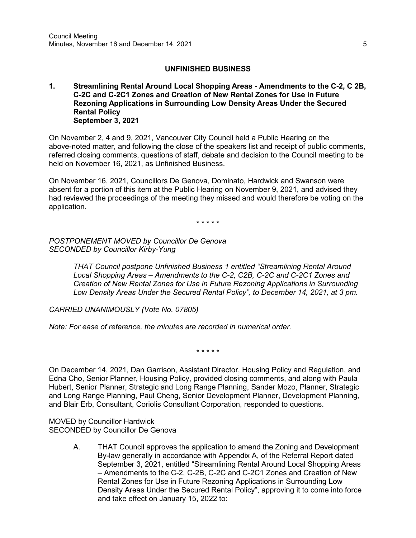## **UNFINISHED BUSINESS**

#### **1. Streamlining Rental Around Local Shopping Areas - Amendments to the C-2, C 2B, C-2C and C-2C1 Zones and Creation of New Rental Zones for Use in Future Rezoning Applications in Surrounding Low Density Areas Under the Secured Rental Policy September 3, 2021**

On November 2, 4 and 9, 2021, Vancouver City Council held a Public Hearing on the above-noted matter, and following the close of the speakers list and receipt of public comments, referred closing comments, questions of staff, debate and decision to the Council meeting to be held on November 16, 2021, as Unfinished Business.

On November 16, 2021, Councillors De Genova, Dominato, Hardwick and Swanson were absent for a portion of this item at the Public Hearing on November 9, 2021, and advised they had reviewed the proceedings of the meeting they missed and would therefore be voting on the application.

\* \* \* \* \*

*POSTPONEMENT MOVED by Councillor De Genova SECONDED by Councillor Kirby-Yung*

> *THAT Council postpone Unfinished Business 1 entitled "Streamlining Rental Around Local Shopping Areas – Amendments to the C-2, C2B, C-2C and C-2C1 Zones and Creation of New Rental Zones for Use in Future Rezoning Applications in Surrounding Low Density Areas Under the Secured Rental Policy", to December 14, 2021, at 3 pm.*

*CARRIED UNANIMOUSLY (Vote No. 07805)*

*Note: For ease of reference, the minutes are recorded in numerical order.*

\* \* \* \* \*

On December 14, 2021, Dan Garrison, Assistant Director, Housing Policy and Regulation, and Edna Cho, Senior Planner, Housing Policy, provided closing comments, and along with Paula Hubert, Senior Planner, Strategic and Long Range Planning, Sander Mozo, Planner, Strategic and Long Range Planning, Paul Cheng, Senior Development Planner, Development Planning, and Blair Erb, Consultant, Coriolis Consultant Corporation, responded to questions.

MOVED by Councillor Hardwick SECONDED by Councillor De Genova

> A. THAT Council approves the application to amend the Zoning and Development By-law generally in accordance with Appendix A, of the Referral Report dated September 3, 2021, entitled "Streamlining Rental Around Local Shopping Areas – Amendments to the C-2, C-2B, C-2C and C-2C1 Zones and Creation of New Rental Zones for Use in Future Rezoning Applications in Surrounding Low Density Areas Under the Secured Rental Policy", approving it to come into force and take effect on January 15, 2022 to: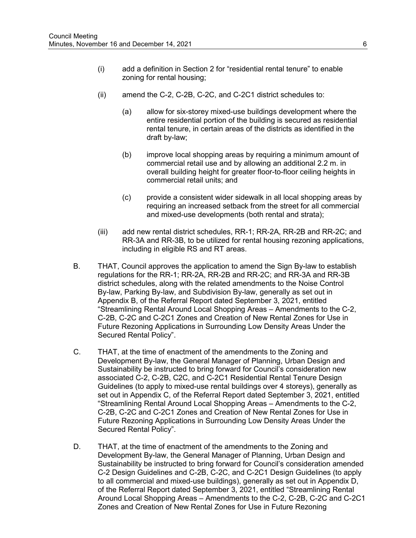- (i) add a definition in Section 2 for "residential rental tenure" to enable zoning for rental housing;
- (ii) amend the C-2, C-2B, C-2C, and C-2C1 district schedules to:
	- (a) allow for six-storey mixed-use buildings development where the entire residential portion of the building is secured as residential rental tenure, in certain areas of the districts as identified in the draft by-law;
	- (b) improve local shopping areas by requiring a minimum amount of commercial retail use and by allowing an additional 2.2 m. in overall building height for greater floor-to-floor ceiling heights in commercial retail units; and
	- (c) provide a consistent wider sidewalk in all local shopping areas by requiring an increased setback from the street for all commercial and mixed-use developments (both rental and strata);
- (iii) add new rental district schedules, RR-1; RR-2A, RR-2B and RR-2C; and RR-3A and RR-3B, to be utilized for rental housing rezoning applications, including in eligible RS and RT areas.
- B. THAT, Council approves the application to amend the Sign By-law to establish regulations for the RR-1; RR-2A, RR-2B and RR-2C; and RR-3A and RR-3B district schedules, along with the related amendments to the Noise Control By-law, Parking By-law, and Subdivision By-law, generally as set out in Appendix B, of the Referral Report dated September 3, 2021, entitled "Streamlining Rental Around Local Shopping Areas – Amendments to the C-2, C-2B, C-2C and C-2C1 Zones and Creation of New Rental Zones for Use in Future Rezoning Applications in Surrounding Low Density Areas Under the Secured Rental Policy".
- C. THAT, at the time of enactment of the amendments to the Zoning and Development By-law, the General Manager of Planning, Urban Design and Sustainability be instructed to bring forward for Council's consideration new associated C-2, C-2B, C2C, and C-2C1 Residential Rental Tenure Design Guidelines (to apply to mixed-use rental buildings over 4 storeys), generally as set out in Appendix C, of the Referral Report dated September 3, 2021, entitled "Streamlining Rental Around Local Shopping Areas – Amendments to the C-2, C-2B, C-2C and C-2C1 Zones and Creation of New Rental Zones for Use in Future Rezoning Applications in Surrounding Low Density Areas Under the Secured Rental Policy".
- D. THAT, at the time of enactment of the amendments to the Zoning and Development By-law, the General Manager of Planning, Urban Design and Sustainability be instructed to bring forward for Council's consideration amended C-2 Design Guidelines and C-2B, C-2C, and C-2C1 Design Guidelines (to apply to all commercial and mixed-use buildings), generally as set out in Appendix D, of the Referral Report dated September 3, 2021, entitled "Streamlining Rental Around Local Shopping Areas – Amendments to the C-2, C-2B, C-2C and C-2C1 Zones and Creation of New Rental Zones for Use in Future Rezoning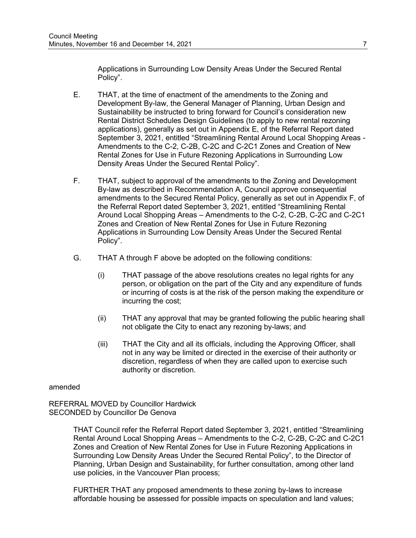Applications in Surrounding Low Density Areas Under the Secured Rental Policy".

- E. THAT, at the time of enactment of the amendments to the Zoning and Development By-law, the General Manager of Planning, Urban Design and Sustainability be instructed to bring forward for Council's consideration new Rental District Schedules Design Guidelines (to apply to new rental rezoning applications), generally as set out in Appendix E, of the Referral Report dated September 3, 2021, entitled "Streamlining Rental Around Local Shopping Areas - Amendments to the C-2, C-2B, C-2C and C-2C1 Zones and Creation of New Rental Zones for Use in Future Rezoning Applications in Surrounding Low Density Areas Under the Secured Rental Policy".
- F. THAT, subject to approval of the amendments to the Zoning and Development By-law as described in Recommendation A, Council approve consequential amendments to the Secured Rental Policy, generally as set out in Appendix F, of the Referral Report dated September 3, 2021, entitled "Streamlining Rental Around Local Shopping Areas – Amendments to the C-2, C-2B, C-2C and C-2C1 Zones and Creation of New Rental Zones for Use in Future Rezoning Applications in Surrounding Low Density Areas Under the Secured Rental Policy".
- G. THAT A through F above be adopted on the following conditions:
	- (i) THAT passage of the above resolutions creates no legal rights for any person, or obligation on the part of the City and any expenditure of funds or incurring of costs is at the risk of the person making the expenditure or incurring the cost;
	- (ii) THAT any approval that may be granted following the public hearing shall not obligate the City to enact any rezoning by-laws; and
	- (iii) THAT the City and all its officials, including the Approving Officer, shall not in any way be limited or directed in the exercise of their authority or discretion, regardless of when they are called upon to exercise such authority or discretion.

amended

REFERRAL MOVED by Councillor Hardwick SECONDED by Councillor De Genova

> THAT Council refer the Referral Report dated September 3, 2021, entitled "Streamlining Rental Around Local Shopping Areas – Amendments to the C-2, C-2B, C-2C and C-2C1 Zones and Creation of New Rental Zones for Use in Future Rezoning Applications in Surrounding Low Density Areas Under the Secured Rental Policy", to the Director of Planning, Urban Design and Sustainability, for further consultation, among other land use policies, in the Vancouver Plan process;

FURTHER THAT any proposed amendments to these zoning by-laws to increase affordable housing be assessed for possible impacts on speculation and land values;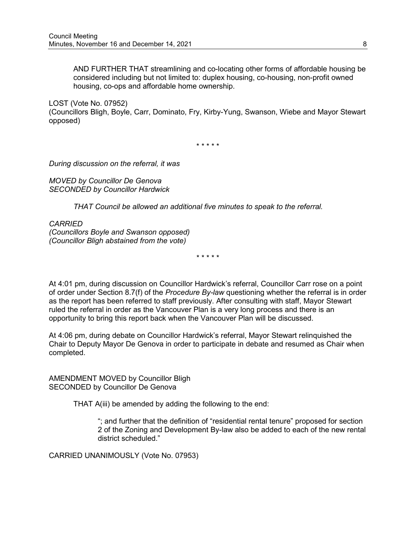AND FURTHER THAT streamlining and co-locating other forms of affordable housing be considered including but not limited to: duplex housing, co-housing, non-profit owned housing, co-ops and affordable home ownership.

LOST (Vote No. 07952)

(Councillors Bligh, Boyle, Carr, Dominato, Fry, Kirby-Yung, Swanson, Wiebe and Mayor Stewart opposed)

\* \* \* \* \*

*During discussion on the referral, it was*

*MOVED by Councillor De Genova SECONDED by Councillor Hardwick*

*THAT Council be allowed an additional five minutes to speak to the referral.*

*CARRIED (Councillors Boyle and Swanson opposed) (Councillor Bligh abstained from the vote)*

\* \* \* \* \*

At 4:01 pm, during discussion on Councillor Hardwick's referral, Councillor Carr rose on a point of order under Section 8.7(f) of the *Procedure By-law* questioning whether the referral is in order as the report has been referred to staff previously. After consulting with staff, Mayor Stewart ruled the referral in order as the Vancouver Plan is a very long process and there is an opportunity to bring this report back when the Vancouver Plan will be discussed.

At 4:06 pm, during debate on Councillor Hardwick's referral, Mayor Stewart relinquished the Chair to Deputy Mayor De Genova in order to participate in debate and resumed as Chair when completed.

AMENDMENT MOVED by Councillor Bligh SECONDED by Councillor De Genova

THAT A(iii) be amended by adding the following to the end:

"; and further that the definition of "residential rental tenure" proposed for section 2 of the Zoning and Development By-law also be added to each of the new rental district scheduled."

CARRIED UNANIMOUSLY (Vote No. 07953)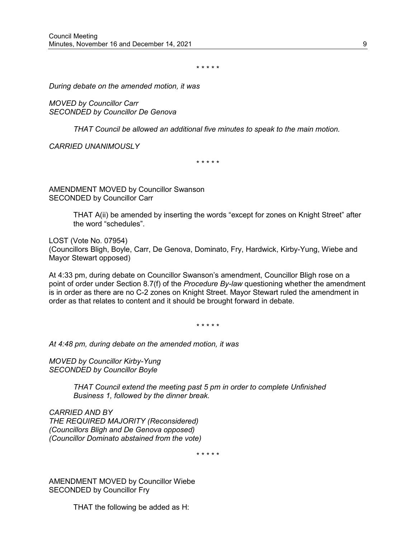\* \* \* \* \*

*During debate on the amended motion, it was*

*MOVED by Councillor Carr SECONDED by Councillor De Genova*

*THAT Council be allowed an additional five minutes to speak to the main motion.*

*CARRIED UNANIMOUSLY*

\* \* \* \* \*

AMENDMENT MOVED by Councillor Swanson SECONDED by Councillor Carr

> THAT A(ii) be amended by inserting the words "except for zones on Knight Street" after the word "schedules".

LOST (Vote No. 07954) (Councillors Bligh, Boyle, Carr, De Genova, Dominato, Fry, Hardwick, Kirby-Yung, Wiebe and Mayor Stewart opposed)

At 4:33 pm, during debate on Councillor Swanson's amendment, Councillor Bligh rose on a point of order under Section 8.7(f) of the *Procedure By-law* questioning whether the amendment is in order as there are no C-2 zones on Knight Street. Mayor Stewart ruled the amendment in order as that relates to content and it should be brought forward in debate.

\* \* \* \* \*

*At 4:48 pm, during debate on the amended motion, it was*

*MOVED by Councillor Kirby-Yung SECONDED by Councillor Boyle*

> *THAT Council extend the meeting past 5 pm in order to complete Unfinished Business 1, followed by the dinner break.*

*CARRIED AND BY THE REQUIRED MAJORITY (Reconsidered) (Councillors Bligh and De Genova opposed) (Councillor Dominato abstained from the vote)*

\* \* \* \* \*

AMENDMENT MOVED by Councillor Wiebe SECONDED by Councillor Fry

THAT the following be added as H: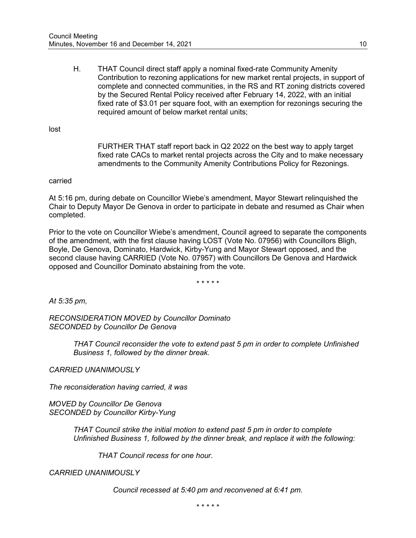H. THAT Council direct staff apply a nominal fixed-rate Community Amenity Contribution to rezoning applications for new market rental projects, in support of complete and connected communities, in the RS and RT zoning districts covered by the Secured Rental Policy received after February 14, 2022, with an initial fixed rate of \$3.01 per square foot, with an exemption for rezonings securing the required amount of below market rental units;

lost

FURTHER THAT staff report back in Q2 2022 on the best way to apply target fixed rate CACs to market rental projects across the City and to make necessary amendments to the Community Amenity Contributions Policy for Rezonings.

#### carried

At 5:16 pm, during debate on Councillor Wiebe's amendment, Mayor Stewart relinquished the Chair to Deputy Mayor De Genova in order to participate in debate and resumed as Chair when completed.

Prior to the vote on Councillor Wiebe's amendment, Council agreed to separate the components of the amendment, with the first clause having LOST (Vote No. 07956) with Councillors Bligh, Boyle, De Genova, Dominato, Hardwick, Kirby-Yung and Mayor Stewart opposed, and the second clause having CARRIED (Vote No. 07957) with Councillors De Genova and Hardwick opposed and Councillor Dominato abstaining from the vote.

\* \* \* \* \*

*At 5:35 pm,*

*RECONSIDERATION MOVED by Councillor Dominato SECONDED by Councillor De Genova*

> *THAT Council reconsider the vote to extend past 5 pm in order to complete Unfinished Business 1, followed by the dinner break.*

*CARRIED UNANIMOUSLY*

*The reconsideration having carried, it was*

*MOVED by Councillor De Genova SECONDED by Councillor Kirby-Yung*

> *THAT Council strike the initial motion to extend past 5 pm in order to complete Unfinished Business 1, followed by the dinner break, and replace it with the following:*

*THAT Council recess for one hour.*

*CARRIED UNANIMOUSLY*

*Council recessed at 5:40 pm and reconvened at 6:41 pm.*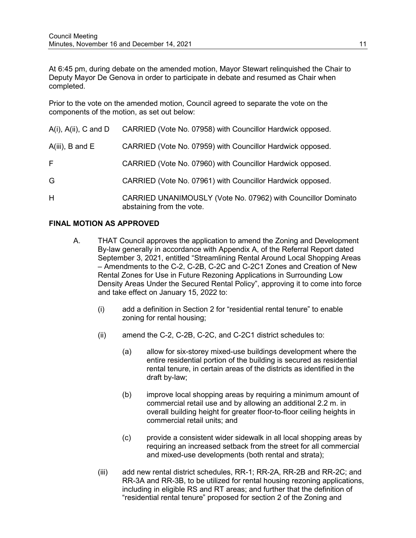At 6:45 pm, during debate on the amended motion, Mayor Stewart relinquished the Chair to Deputy Mayor De Genova in order to participate in debate and resumed as Chair when completed.

Prior to the vote on the amended motion, Council agreed to separate the vote on the components of the motion, as set out below:

| $A(i)$ , $A(ii)$ , C and D | CARRIED (Vote No. 07958) with Councillor Hardwick opposed.                                 |
|----------------------------|--------------------------------------------------------------------------------------------|
| $A(iii)$ , B and E         | CARRIED (Vote No. 07959) with Councillor Hardwick opposed.                                 |
| F.                         | CARRIED (Vote No. 07960) with Councillor Hardwick opposed.                                 |
| G                          | CARRIED (Vote No. 07961) with Councillor Hardwick opposed.                                 |
| H                          | CARRIED UNANIMOUSLY (Vote No. 07962) with Councillor Dominato<br>abstaining from the vote. |

## **FINAL MOTION AS APPROVED**

- A. THAT Council approves the application to amend the Zoning and Development By-law generally in accordance with Appendix A, of the Referral Report dated September 3, 2021, entitled "Streamlining Rental Around Local Shopping Areas – Amendments to the C-2, C-2B, C-2C and C-2C1 Zones and Creation of New Rental Zones for Use in Future Rezoning Applications in Surrounding Low Density Areas Under the Secured Rental Policy", approving it to come into force and take effect on January 15, 2022 to:
	- (i) add a definition in Section 2 for "residential rental tenure" to enable zoning for rental housing;
	- (ii) amend the C-2, C-2B, C-2C, and C-2C1 district schedules to:
		- (a) allow for six-storey mixed-use buildings development where the entire residential portion of the building is secured as residential rental tenure, in certain areas of the districts as identified in the draft by-law;
		- (b) improve local shopping areas by requiring a minimum amount of commercial retail use and by allowing an additional 2.2 m. in overall building height for greater floor-to-floor ceiling heights in commercial retail units; and
		- (c) provide a consistent wider sidewalk in all local shopping areas by requiring an increased setback from the street for all commercial and mixed-use developments (both rental and strata);
	- (iii) add new rental district schedules, RR-1; RR-2A, RR-2B and RR-2C; and RR-3A and RR-3B, to be utilized for rental housing rezoning applications, including in eligible RS and RT areas; and further that the definition of "residential rental tenure" proposed for section 2 of the Zoning and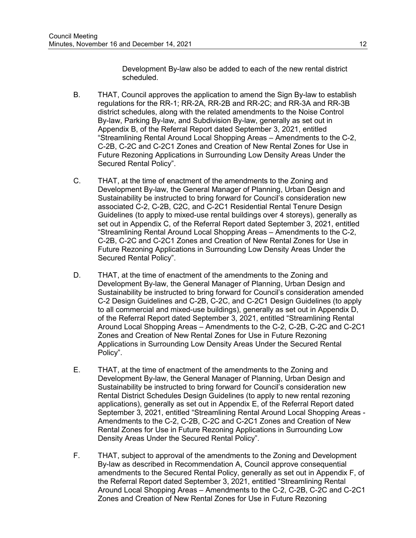Development By-law also be added to each of the new rental district scheduled.

- B. THAT, Council approves the application to amend the Sign By-law to establish regulations for the RR-1; RR-2A, RR-2B and RR-2C; and RR-3A and RR-3B district schedules, along with the related amendments to the Noise Control By-law, Parking By-law, and Subdivision By-law, generally as set out in Appendix B, of the Referral Report dated September 3, 2021, entitled "Streamlining Rental Around Local Shopping Areas – Amendments to the C-2, C-2B, C-2C and C-2C1 Zones and Creation of New Rental Zones for Use in Future Rezoning Applications in Surrounding Low Density Areas Under the Secured Rental Policy".
- C. THAT, at the time of enactment of the amendments to the Zoning and Development By-law, the General Manager of Planning, Urban Design and Sustainability be instructed to bring forward for Council's consideration new associated C-2, C-2B, C2C, and C-2C1 Residential Rental Tenure Design Guidelines (to apply to mixed-use rental buildings over 4 storeys), generally as set out in Appendix C, of the Referral Report dated September 3, 2021, entitled "Streamlining Rental Around Local Shopping Areas – Amendments to the C-2, C-2B, C-2C and C-2C1 Zones and Creation of New Rental Zones for Use in Future Rezoning Applications in Surrounding Low Density Areas Under the Secured Rental Policy".
- D. THAT, at the time of enactment of the amendments to the Zoning and Development By-law, the General Manager of Planning, Urban Design and Sustainability be instructed to bring forward for Council's consideration amended C-2 Design Guidelines and C-2B, C-2C, and C-2C1 Design Guidelines (to apply to all commercial and mixed-use buildings), generally as set out in Appendix D, of the Referral Report dated September 3, 2021, entitled "Streamlining Rental Around Local Shopping Areas – Amendments to the C-2, C-2B, C-2C and C-2C1 Zones and Creation of New Rental Zones for Use in Future Rezoning Applications in Surrounding Low Density Areas Under the Secured Rental Policy".
- E. THAT, at the time of enactment of the amendments to the Zoning and Development By-law, the General Manager of Planning, Urban Design and Sustainability be instructed to bring forward for Council's consideration new Rental District Schedules Design Guidelines (to apply to new rental rezoning applications), generally as set out in Appendix E, of the Referral Report dated September 3, 2021, entitled "Streamlining Rental Around Local Shopping Areas - Amendments to the C-2, C-2B, C-2C and C-2C1 Zones and Creation of New Rental Zones for Use in Future Rezoning Applications in Surrounding Low Density Areas Under the Secured Rental Policy".
- F. THAT, subject to approval of the amendments to the Zoning and Development By-law as described in Recommendation A, Council approve consequential amendments to the Secured Rental Policy, generally as set out in Appendix F, of the Referral Report dated September 3, 2021, entitled "Streamlining Rental Around Local Shopping Areas – Amendments to the C-2, C-2B, C-2C and C-2C1 Zones and Creation of New Rental Zones for Use in Future Rezoning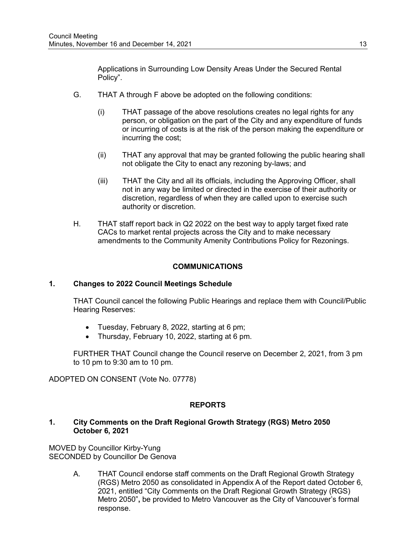Applications in Surrounding Low Density Areas Under the Secured Rental Policy".

- G. THAT A through F above be adopted on the following conditions:
	- (i) THAT passage of the above resolutions creates no legal rights for any person, or obligation on the part of the City and any expenditure of funds or incurring of costs is at the risk of the person making the expenditure or incurring the cost;
	- (ii) THAT any approval that may be granted following the public hearing shall not obligate the City to enact any rezoning by-laws; and
	- (iii) THAT the City and all its officials, including the Approving Officer, shall not in any way be limited or directed in the exercise of their authority or discretion, regardless of when they are called upon to exercise such authority or discretion.
- H. THAT staff report back in Q2 2022 on the best way to apply target fixed rate CACs to market rental projects across the City and to make necessary amendments to the Community Amenity Contributions Policy for Rezonings.

## **COMMUNICATIONS**

## **1. Changes to 2022 Council Meetings Schedule**

THAT Council cancel the following Public Hearings and replace them with Council/Public Hearing Reserves:

- Tuesday, February 8, 2022, starting at 6 pm;
- Thursday, February 10, 2022, starting at 6 pm.

FURTHER THAT Council change the Council reserve on December 2, 2021, from 3 pm to 10 pm to 9:30 am to 10 pm.

ADOPTED ON CONSENT (Vote No. 07778)

## **REPORTS**

### **1. City Comments on the Draft Regional Growth Strategy (RGS) Metro 2050 October 6, 2021**

MOVED by Councillor Kirby-Yung SECONDED by Councillor De Genova

> A. THAT Council endorse staff comments on the Draft Regional Growth Strategy (RGS) Metro 2050 as consolidated in Appendix A of the Report dated October 6, 2021, entitled "City Comments on the Draft Regional Growth Strategy (RGS) Metro 2050"**,** be provided to Metro Vancouver as the City of Vancouver's formal response.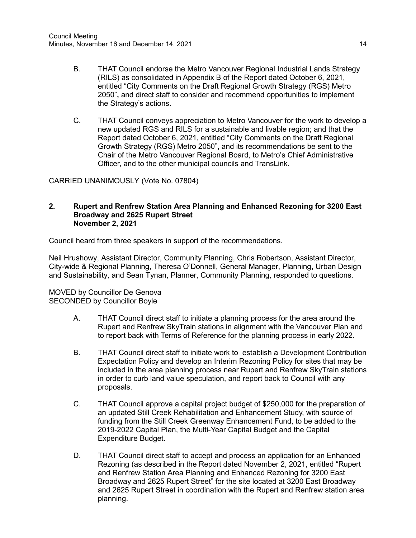- B. THAT Council endorse the Metro Vancouver Regional Industrial Lands Strategy (RILS) as consolidated in Appendix B of the Report dated October 6, 2021, entitled "City Comments on the Draft Regional Growth Strategy (RGS) Metro 2050"**,** and direct staff to consider and recommend opportunities to implement the Strategy's actions.
- C. THAT Council conveys appreciation to Metro Vancouver for the work to develop a new updated RGS and RILS for a sustainable and livable region; and that the Report dated October 6, 2021, entitled "City Comments on the Draft Regional Growth Strategy (RGS) Metro 2050"**,** and its recommendations be sent to the Chair of the Metro Vancouver Regional Board, to Metro's Chief Administrative Officer, and to the other municipal councils and TransLink.

CARRIED UNANIMOUSLY (Vote No. 07804)

#### **2. Rupert and Renfrew Station Area Planning and Enhanced Rezoning for 3200 East Broadway and 2625 Rupert Street November 2, 2021**

Council heard from three speakers in support of the recommendations.

Neil Hrushowy, Assistant Director, Community Planning, Chris Robertson, Assistant Director, City-wide & Regional Planning, Theresa O'Donnell, General Manager, Planning, Urban Design and Sustainability, and Sean Tynan, Planner, Community Planning, responded to questions.

MOVED by Councillor De Genova SECONDED by Councillor Boyle

- A. THAT Council direct staff to initiate a planning process for the area around the Rupert and Renfrew SkyTrain stations in alignment with the Vancouver Plan and to report back with Terms of Reference for the planning process in early 2022.
- B. THAT Council direct staff to initiate work to establish a Development Contribution Expectation Policy and develop an Interim Rezoning Policy for sites that may be included in the area planning process near Rupert and Renfrew SkyTrain stations in order to curb land value speculation, and report back to Council with any proposals.
- C. THAT Council approve a capital project budget of \$250,000 for the preparation of an updated Still Creek Rehabilitation and Enhancement Study, with source of funding from the Still Creek Greenway Enhancement Fund, to be added to the 2019-2022 Capital Plan, the Multi-Year Capital Budget and the Capital Expenditure Budget.
- D. THAT Council direct staff to accept and process an application for an Enhanced Rezoning (as described in the Report dated November 2, 2021, entitled "Rupert and Renfrew Station Area Planning and Enhanced Rezoning for 3200 East Broadway and 2625 Rupert Street" for the site located at 3200 East Broadway and 2625 Rupert Street in coordination with the Rupert and Renfrew station area planning.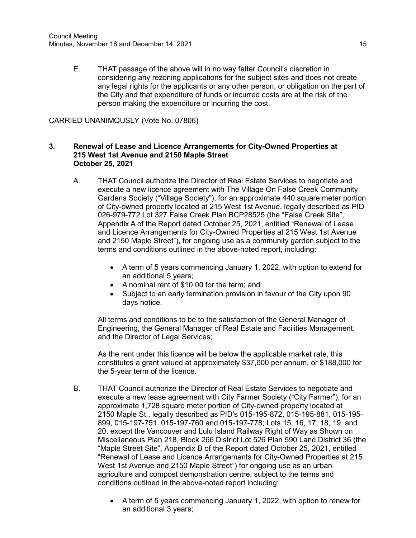E. THAT passage of the above will in no way fetter Council's discretion in considering any rezoning applications for the subject sites and does not create any legal rights for the applicants or any other person, or obligation on the part of the City and that expenditure of funds or incurred costs are at the risk of the person making the expenditure or incurring the cost.

#### CARRIED UNANIMOUSLY (Vote No. 07806)

#### **3. Renewal of Lease and Licence Arrangements for City-Owned Properties at 215 West 1st Avenue and 2150 Maple Street October 25, 2021**

- A. THAT Council authorize the Director of Real Estate Services to negotiate and execute a new licence agreement with The Village On False Creek Community Gardens Society ("Village Society"), for an approximate 440 square meter portion of City-owned property located at 215 West 1st Avenue, legally described as PID 026-979-772 Lot 327 False Creek Plan BCP28525 (the "False Creek Site", Appendix A of the Report dated October 25, 2021, entitled "Renewal of Lease and Licence Arrangements for City-Owned Properties at 215 West 1st Avenue and 2150 Maple Street"), for ongoing use as a community garden subject to the terms and conditions outlined in the above-noted report, including:
	- A term of 5 years commencing January 1, 2022, with option to extend for an additional 5 years;
	- A nominal rent of \$10.00 for the term; and
	- Subject to an early termination provision in favour of the City upon 90 days notice.

All terms and conditions to be to the satisfaction of the General Manager of Engineering, the General Manager of Real Estate and Facilities Management, and the Director of Legal Services;

As the rent under this licence will be below the applicable market rate, this constitutes a grant valued at approximately \$37,600 per annum, or \$188,000 for the 5-year term of the licence.

- B. THAT Council authorize the Director of Real Estate Services to negotiate and execute a new lease agreement with City Farmer Society ("City Farmer"), for an approximate 1,728 square meter portion of City-owned property located at 2150 Maple St., legally described as PID's 015-195-872, 015-195-881, 015-195- 899, 015-197-751, 015-197-760 and 015-197-778; Lots 15, 16, 17, 18, 19, and 20, except the Vancouver and Lulu Island Railway Right of Way as Shown on Miscellaneous Plan 218, Block 266 District Lot 526 Plan 590 Land District 36 (the "Maple Street Site", Appendix B of the Report dated October 25, 2021, entitled "Renewal of Lease and Licence Arrangements for City-Owned Properties at 215 West 1st Avenue and 2150 Maple Street") for ongoing use as an urban agriculture and compost demonstration centre, subject to the terms and conditions outlined in the above-noted report including:
	- A term of 5 years commencing January 1, 2022, with option to renew for an additional 3 years;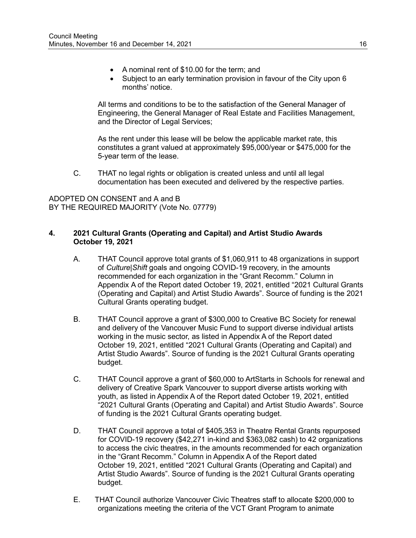- A nominal rent of \$10.00 for the term; and
- Subject to an early termination provision in favour of the City upon 6 months' notice.

All terms and conditions to be to the satisfaction of the General Manager of Engineering, the General Manager of Real Estate and Facilities Management, and the Director of Legal Services;

As the rent under this lease will be below the applicable market rate, this constitutes a grant valued at approximately \$95,000/year or \$475,000 for the 5-year term of the lease.

C. THAT no legal rights or obligation is created unless and until all legal documentation has been executed and delivered by the respective parties.

ADOPTED ON CONSENT and A and B BY THE REQUIRED MAJORITY (Vote No. 07779)

## **4. 2021 Cultural Grants (Operating and Capital) and Artist Studio Awards October 19, 2021**

- A. THAT Council approve total grants of \$1,060,911 to 48 organizations in support of *Culture|Shift* goals and ongoing COVID-19 recovery, in the amounts recommended for each organization in the "Grant Recomm." Column in Appendix A of the Report dated October 19, 2021, entitled "2021 Cultural Grants (Operating and Capital) and Artist Studio Awards". Source of funding is the 2021 Cultural Grants operating budget.
- B. THAT Council approve a grant of \$300,000 to Creative BC Society for renewal and delivery of the Vancouver Music Fund to support diverse individual artists working in the music sector, as listed in Appendix A of the Report dated October 19, 2021, entitled "2021 Cultural Grants (Operating and Capital) and Artist Studio Awards". Source of funding is the 2021 Cultural Grants operating budget.
- C. THAT Council approve a grant of \$60,000 to ArtStarts in Schools for renewal and delivery of Creative Spark Vancouver to support diverse artists working with youth, as listed in Appendix A of the Report dated October 19, 2021, entitled "2021 Cultural Grants (Operating and Capital) and Artist Studio Awards". Source of funding is the 2021 Cultural Grants operating budget.
- D. THAT Council approve a total of \$405,353 in Theatre Rental Grants repurposed for COVID-19 recovery (\$42,271 in-kind and \$363,082 cash) to 42 organizations to access the civic theatres, in the amounts recommended for each organization in the "Grant Recomm." Column in Appendix A of the Report dated October 19, 2021, entitled "2021 Cultural Grants (Operating and Capital) and Artist Studio Awards". Source of funding is the 2021 Cultural Grants operating budget.
- E. THAT Council authorize Vancouver Civic Theatres staff to allocate \$200,000 to organizations meeting the criteria of the VCT Grant Program to animate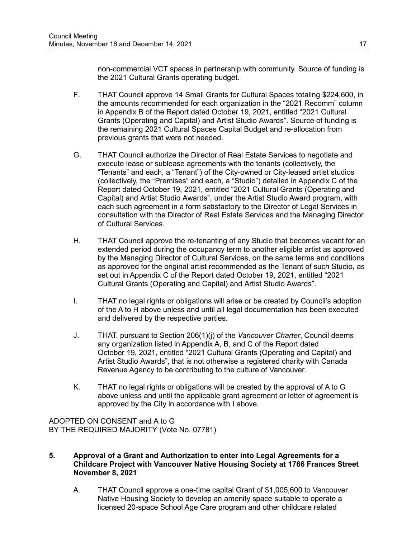non-commercial VCT spaces in partnership with community. Source of funding is the 2021 Cultural Grants operating budget.

- F. THAT Council approve 14 Small Grants for Cultural Spaces totaling \$224,600, in the amounts recommended for each organization in the "2021 Recomm" column in Appendix B of the Report dated October 19, 2021, entitled "2021 Cultural Grants (Operating and Capital) and Artist Studio Awards". Source of funding is the remaining 2021 Cultural Spaces Capital Budget and re-allocation from previous grants that were not needed.
- G. THAT Council authorize the Director of Real Estate Services to negotiate and execute lease or sublease agreements with the tenants (collectively, the "Tenants" and each, a "Tenant") of the City-owned or City-leased artist studios (collectively, the "Premises" and each, a "Studio") detailed in Appendix C of the Report dated October 19, 2021, entitled "2021 Cultural Grants (Operating and Capital) and Artist Studio Awards", under the Artist Studio Award program, with each such agreement in a form satisfactory to the Director of Legal Services in consultation with the Director of Real Estate Services and the Managing Director of Cultural Services.
- H. THAT Council approve the re-tenanting of any Studio that becomes vacant for an extended period during the occupancy term to another eligible artist as approved by the Managing Director of Cultural Services, on the same terms and conditions as approved for the original artist recommended as the Tenant of such Studio, as set out in Appendix C of the Report dated October 19, 2021, entitled "2021 Cultural Grants (Operating and Capital) and Artist Studio Awards".
- I. THAT no legal rights or obligations will arise or be created by Council's adoption of the A to H above unless and until all legal documentation has been executed and delivered by the respective parties.
- J. THAT, pursuant to Section 206(1)(j) of the *Vancouver Charter*, Council deems any organization listed in Appendix A, B, and C of the Report dated October 19, 2021, entitled "2021 Cultural Grants (Operating and Capital) and Artist Studio Awards", that is not otherwise a registered charity with Canada Revenue Agency to be contributing to the culture of Vancouver.
- K. THAT no legal rights or obligations will be created by the approval of A to G above unless and until the applicable grant agreement or letter of agreement is approved by the City in accordance with I above.

ADOPTED ON CONSENT and A to G BY THE REQUIRED MAJORITY (Vote No. 07781)

- **5. Approval of a Grant and Authorization to enter into Legal Agreements for a Childcare Project with Vancouver Native Housing Society at 1766 Frances Street November 8, 2021**
	- A. THAT Council approve a one-time capital Grant of \$1,005,600 to Vancouver Native Housing Society to develop an amenity space suitable to operate a licensed 20-space School Age Care program and other childcare related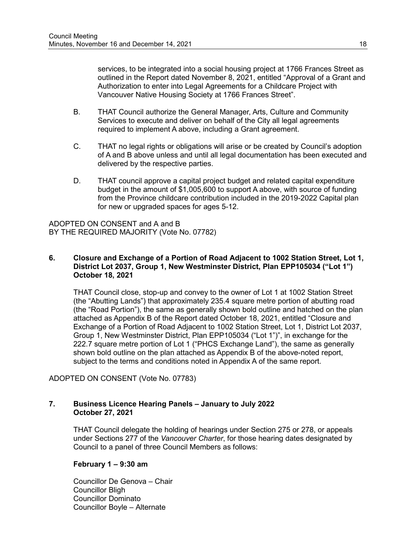services, to be integrated into a social housing project at 1766 Frances Street as outlined in the Report dated November 8, 2021, entitled "Approval of a Grant and Authorization to enter into Legal Agreements for a Childcare Project with Vancouver Native Housing Society at 1766 Frances Street".

- B. THAT Council authorize the General Manager, Arts, Culture and Community Services to execute and deliver on behalf of the City all legal agreements required to implement A above, including a Grant agreement.
- C. THAT no legal rights or obligations will arise or be created by Council's adoption of A and B above unless and until all legal documentation has been executed and delivered by the respective parties.
- D. THAT council approve a capital project budget and related capital expenditure budget in the amount of \$1,005,600 to support A above, with source of funding from the Province childcare contribution included in the 2019-2022 Capital plan for new or upgraded spaces for ages 5-12.

ADOPTED ON CONSENT and A and B BY THE REQUIRED MAJORITY (Vote No. 07782)

### **6. Closure and Exchange of a Portion of Road Adjacent to 1002 Station Street, Lot 1, District Lot 2037, Group 1, New Westminster District, Plan EPP105034 ("Lot 1") October 18, 2021**

THAT Council close, stop-up and convey to the owner of Lot 1 at 1002 Station Street (the "Abutting Lands") that approximately 235.4 square metre portion of abutting road (the "Road Portion"), the same as generally shown bold outline and hatched on the plan attached as Appendix B of the Report dated October 18, 2021, entitled "Closure and Exchange of a Portion of Road Adjacent to 1002 Station Street, Lot 1, District Lot 2037, Group 1, New Westminster District, Plan EPP105034 ("Lot 1")", in exchange for the 222.7 square metre portion of Lot 1 ("PHCS Exchange Land"), the same as generally shown bold outline on the plan attached as Appendix B of the above-noted report, subject to the terms and conditions noted in Appendix A of the same report.

ADOPTED ON CONSENT (Vote No. 07783)

## **7. Business Licence Hearing Panels – January to July 2022 October 27, 2021**

THAT Council delegate the holding of hearings under Section 275 or 278, or appeals under Sections 277 of the *Vancouver Charter*, for those hearing dates designated by Council to a panel of three Council Members as follows:

## **February 1 – 9:30 am**

Councillor De Genova – Chair Councillor Bligh Councillor Dominato Councillor Boyle – Alternate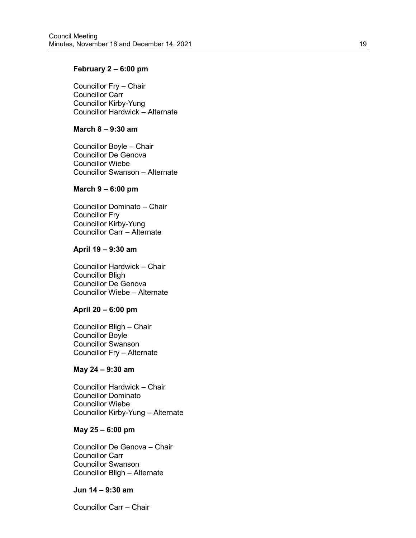### **February 2 – 6:00 pm**

Councillor Fry – Chair Councillor Carr Councillor Kirby -Yung Councillor Hardwick – Alternate

#### **March 8 – 9:30 am**

Councillor Boyle – Chair Councillor De Genova Councillor Wiebe Councillor Swanson – Alternate

#### **March 9 – 6:00 pm**

Councillor Dominato – Chair Councillor Fry Councillor Kirby -Yung Councillor Carr – Alternate

#### **April 19 – 9:30 am**

Councillor Hardwick – Chair Councillor Bligh Councillor De Genova Councillor Wiebe – Alternate

#### **April 20 – 6:00 pm**

Councillor Bligh – Chair Councillor Boyle Councillor Swanson Councillor Fry – Alternate

#### **May 24 – 9:30 am**

Councillor Hardwick – Chair Councillor Dominato Councillor Wiebe Councillor Kirby -Yung – Alternate

#### **May 25 – 6:00 pm**

Councillor De Genova – Chair Councillor Carr Councillor Swanson Councillor Bligh – Alternate

#### **Jun 14 – 9:30 am**

Councillor Carr – Chair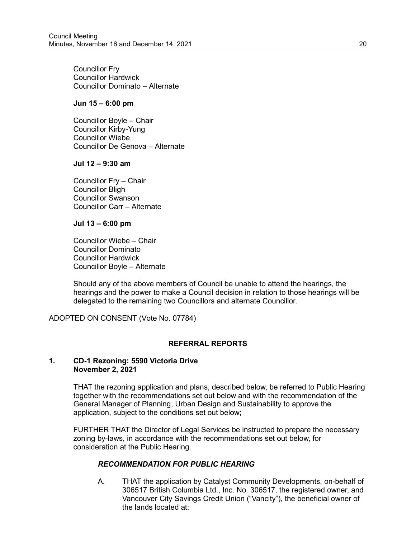Councillor Fry Councillor Hardwick Councillor Dominato – Alternate

#### **Jun 15 – 6:00 pm**

Councillor Boyle – Chair Councillor Kirby-Yung Councillor Wiebe Councillor De Genova – Alternate

#### **Jul 12 – 9:30 am**

Councillor Fry – Chair Councillor Bligh Councillor Swanson Councillor Carr – Alternate

**Jul 13 – 6:00 pm**

Councillor Wiebe – Chair Councillor Dominato Councillor Hardwick Councillor Boyle – Alternate

Should any of the above members of Council be unable to attend the hearings, the hearings and the power to make a Council decision in relation to those hearings will be delegated to the remaining two Councillors and alternate Councillor.

ADOPTED ON CONSENT (Vote No. 07784)

# **REFERRAL REPORTS**

### **1. CD-1 Rezoning: 5590 Victoria Drive November 2, 2021**

THAT the rezoning application and plans, described below, be referred to Public Hearing together with the recommendations set out below and with the recommendation of the General Manager of Planning, Urban Design and Sustainability to approve the application, subject to the conditions set out below;

FURTHER THAT the Director of Legal Services be instructed to prepare the necessary zoning by-laws, in accordance with the recommendations set out below, for consideration at the Public Hearing.

## *RECOMMENDATION FOR PUBLIC HEARING*

A. THAT the application by Catalyst Community Developments, on-behalf of 306517 British Columbia Ltd., Inc. No. 306517, the registered owner, and Vancouver City Savings Credit Union ("Vancity"), the beneficial owner of the lands located at: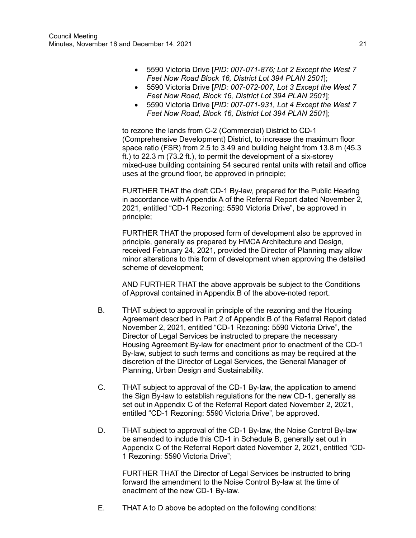- 5590 Victoria Drive [*PID: 007-071-876; Lot 2 Except the West 7 Feet Now Road Block 16, District Lot 394 PLAN 2501*];
- 5590 Victoria Drive [*PID: 007-072-007, Lot 3 Except the West 7 Feet Now Road, Block 16, District Lot 394 PLAN 2501*];
- 5590 Victoria Drive [*PID: 007-071-931, Lot 4 Except the West 7 Feet Now Road, Block 16, District Lot 394 PLAN 2501*];

to rezone the lands from C-2 (Commercial) District to CD-1 (Comprehensive Development) District, to increase the maximum floor space ratio (FSR) from 2.5 to 3.49 and building height from 13.8 m (45.3 ft.) to 22.3 m (73.2 ft.), to permit the development of a six-storey mixed-use building containing 54 secured rental units with retail and office uses at the ground floor, be approved in principle;

FURTHER THAT the draft CD-1 By-law, prepared for the Public Hearing in accordance with Appendix A of the Referral Report dated November 2, 2021, entitled "CD-1 Rezoning: 5590 Victoria Drive", be approved in principle;

FURTHER THAT the proposed form of development also be approved in principle, generally as prepared by HMCA Architecture and Design, received February 24, 2021, provided the Director of Planning may allow minor alterations to this form of development when approving the detailed scheme of development;

AND FURTHER THAT the above approvals be subject to the Conditions of Approval contained in Appendix B of the above-noted report.

- B. THAT subject to approval in principle of the rezoning and the Housing Agreement described in Part 2 of Appendix B of the Referral Report dated November 2, 2021, entitled "CD-1 Rezoning: 5590 Victoria Drive", the Director of Legal Services be instructed to prepare the necessary Housing Agreement By-law for enactment prior to enactment of the CD-1 By-law, subject to such terms and conditions as may be required at the discretion of the Director of Legal Services, the General Manager of Planning, Urban Design and Sustainability.
- C. THAT subject to approval of the CD-1 By-law, the application to amend the Sign By-law to establish regulations for the new CD-1, generally as set out in Appendix C of the Referral Report dated November 2, 2021, entitled "CD-1 Rezoning: 5590 Victoria Drive", be approved.
- D. THAT subject to approval of the CD-1 By-law, the Noise Control By-law be amended to include this CD-1 in Schedule B, generally set out in Appendix C of the Referral Report dated November 2, 2021, entitled "CD-1 Rezoning: 5590 Victoria Drive";

FURTHER THAT the Director of Legal Services be instructed to bring forward the amendment to the Noise Control By-law at the time of enactment of the new CD-1 By-law.

E. THAT A to D above be adopted on the following conditions: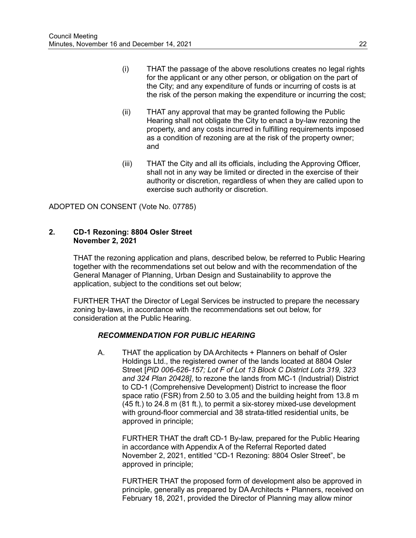- (i) THAT the passage of the above resolutions creates no legal rights for the applicant or any other person, or obligation on the part of the City; and any expenditure of funds or incurring of costs is at the risk of the person making the expenditure or incurring the cost;
- (ii) THAT any approval that may be granted following the Public Hearing shall not obligate the City to enact a by-law rezoning the property, and any costs incurred in fulfilling requirements imposed as a condition of rezoning are at the risk of the property owner; and
- (iii) THAT the City and all its officials, including the Approving Officer, shall not in any way be limited or directed in the exercise of their authority or discretion, regardless of when they are called upon to exercise such authority or discretion.

ADOPTED ON CONSENT (Vote No. 07785)

#### **2. CD-1 Rezoning: 8804 Osler Street November 2, 2021**

THAT the rezoning application and plans, described below, be referred to Public Hearing together with the recommendations set out below and with the recommendation of the General Manager of Planning, Urban Design and Sustainability to approve the application, subject to the conditions set out below;

FURTHER THAT the Director of Legal Services be instructed to prepare the necessary zoning by-laws, in accordance with the recommendations set out below, for consideration at the Public Hearing.

## *RECOMMENDATION FOR PUBLIC HEARING*

A. THAT the application by DA Architects + Planners on behalf of Osler Holdings Ltd., the registered owner of the lands located at 8804 Osler Street [*PID 006-626-157; Lot F of Lot 13 Block C District Lots 319, 323 and 324 Plan 20428]*, to rezone the lands from MC-1 (Industrial) District to CD-1 (Comprehensive Development) District to increase the floor space ratio (FSR) from 2.50 to 3.05 and the building height from 13.8 m (45 ft.) to 24.8 m (81 ft.), to permit a six-storey mixed-use development with ground-floor commercial and 38 strata-titled residential units, be approved in principle;

FURTHER THAT the draft CD-1 By-law, prepared for the Public Hearing in accordance with Appendix A of the Referral Reported dated November 2, 2021, entitled "CD-1 Rezoning: 8804 Osler Street", be approved in principle;

FURTHER THAT the proposed form of development also be approved in principle, generally as prepared by DA Architects + Planners, received on February 18, 2021, provided the Director of Planning may allow minor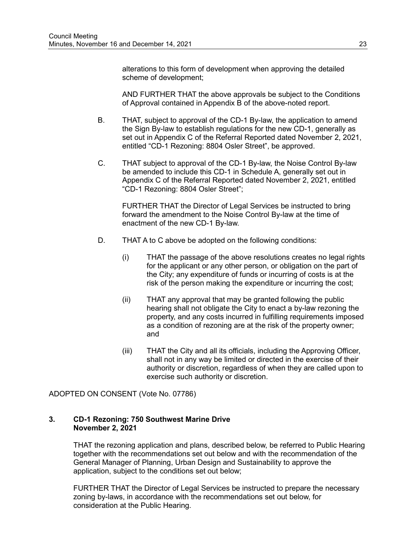alterations to this form of development when approving the detailed scheme of development;

AND FURTHER THAT the above approvals be subject to the Conditions of Approval contained in Appendix B of the above-noted report.

- B. THAT, subject to approval of the CD-1 By-law, the application to amend the Sign By-law to establish regulations for the new CD-1, generally as set out in Appendix C of the Referral Reported dated November 2, 2021, entitled "CD-1 Rezoning: 8804 Osler Street", be approved.
- C. THAT subject to approval of the CD-1 By-law, the Noise Control By-law be amended to include this CD-1 in Schedule A, generally set out in Appendix C of the Referral Reported dated November 2, 2021, entitled "CD-1 Rezoning: 8804 Osler Street";

FURTHER THAT the Director of Legal Services be instructed to bring forward the amendment to the Noise Control By-law at the time of enactment of the new CD-1 By-law.

- D. THAT A to C above be adopted on the following conditions:
	- (i) THAT the passage of the above resolutions creates no legal rights for the applicant or any other person, or obligation on the part of the City; any expenditure of funds or incurring of costs is at the risk of the person making the expenditure or incurring the cost;
	- (ii) THAT any approval that may be granted following the public hearing shall not obligate the City to enact a by-law rezoning the property, and any costs incurred in fulfilling requirements imposed as a condition of rezoning are at the risk of the property owner; and
	- (iii) THAT the City and all its officials, including the Approving Officer, shall not in any way be limited or directed in the exercise of their authority or discretion, regardless of when they are called upon to exercise such authority or discretion.

ADOPTED ON CONSENT (Vote No. 07786)

#### **3. CD-1 Rezoning: 750 Southwest Marine Drive November 2, 2021**

THAT the rezoning application and plans, described below, be referred to Public Hearing together with the recommendations set out below and with the recommendation of the General Manager of Planning, Urban Design and Sustainability to approve the application, subject to the conditions set out below;

FURTHER THAT the Director of Legal Services be instructed to prepare the necessary zoning by-laws, in accordance with the recommendations set out below, for consideration at the Public Hearing.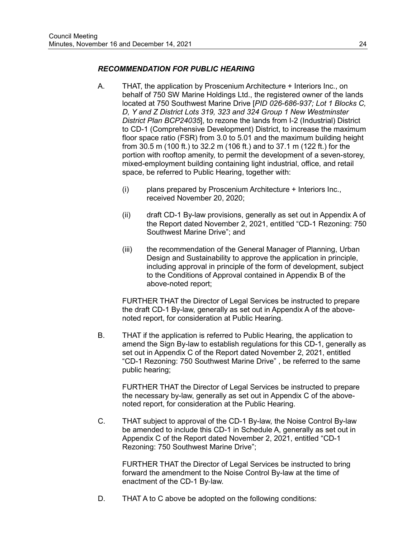### *RECOMMENDATION FOR PUBLIC HEARING*

- A. THAT, the application by Proscenium Architecture + Interiors Inc., on behalf of 750 SW Marine Holdings Ltd., the registered owner of the lands located at 750 Southwest Marine Drive [*PID 026-686-937; Lot 1 Blocks C, D, Y and Z District Lots 319, 323 and 324 Group 1 New Westminster District Plan BCP24035*], to rezone the lands from I-2 (Industrial) District to CD-1 (Comprehensive Development) District, to increase the maximum floor space ratio (FSR) from 3.0 to 5.01 and the maximum building height from 30.5 m (100 ft.) to 32.2 m (106 ft.) and to 37.1 m (122 ft.) for the portion with rooftop amenity, to permit the development of a seven-storey, mixed-employment building containing light industrial, office, and retail space, be referred to Public Hearing, together with:
	- (i) plans prepared by Proscenium Architecture + Interiors Inc., received November 20, 2020;
	- (ii) draft CD-1 By-law provisions, generally as set out in Appendix A of the Report dated November 2, 2021, entitled "CD-1 Rezoning: 750 Southwest Marine Drive"; and
	- (iii) the recommendation of the General Manager of Planning, Urban Design and Sustainability to approve the application in principle, including approval in principle of the form of development, subject to the Conditions of Approval contained in Appendix B of the above-noted report;

FURTHER THAT the Director of Legal Services be instructed to prepare the draft CD-1 By-law, generally as set out in Appendix A of the abovenoted report, for consideration at Public Hearing.

B. THAT if the application is referred to Public Hearing, the application to amend the Sign By-law to establish regulations for this CD-1, generally as set out in Appendix C of the Report dated November 2, 2021, entitled "CD-1 Rezoning: 750 Southwest Marine Drive" , be referred to the same public hearing;

FURTHER THAT the Director of Legal Services be instructed to prepare the necessary by-law, generally as set out in Appendix C of the abovenoted report, for consideration at the Public Hearing.

C. THAT subject to approval of the CD-1 By-law, the Noise Control By-law be amended to include this CD-1 in Schedule A, generally as set out in Appendix C of the Report dated November 2, 2021, entitled "CD-1 Rezoning: 750 Southwest Marine Drive";

FURTHER THAT the Director of Legal Services be instructed to bring forward the amendment to the Noise Control By-law at the time of enactment of the CD-1 By-law.

D. THAT A to C above be adopted on the following conditions: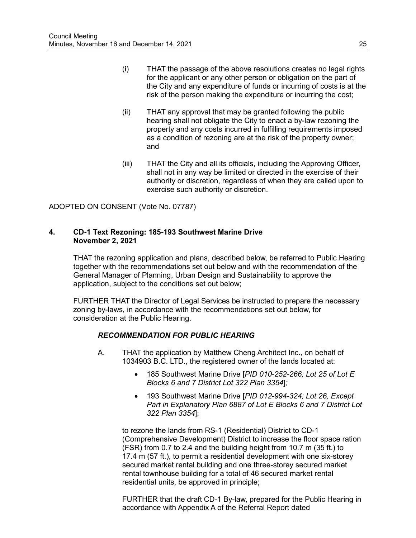- (i) THAT the passage of the above resolutions creates no legal rights for the applicant or any other person or obligation on the part of the City and any expenditure of funds or incurring of costs is at the risk of the person making the expenditure or incurring the cost;
- (ii) THAT any approval that may be granted following the public hearing shall not obligate the City to enact a by-law rezoning the property and any costs incurred in fulfilling requirements imposed as a condition of rezoning are at the risk of the property owner; and
- (iii) THAT the City and all its officials, including the Approving Officer, shall not in any way be limited or directed in the exercise of their authority or discretion, regardless of when they are called upon to exercise such authority or discretion.

ADOPTED ON CONSENT (Vote No. 07787)

### **4. CD-1 Text Rezoning: 185-193 Southwest Marine Drive November 2, 2021**

THAT the rezoning application and plans, described below, be referred to Public Hearing together with the recommendations set out below and with the recommendation of the General Manager of Planning, Urban Design and Sustainability to approve the application, subject to the conditions set out below;

FURTHER THAT the Director of Legal Services be instructed to prepare the necessary zoning by-laws, in accordance with the recommendations set out below, for consideration at the Public Hearing.

## *RECOMMENDATION FOR PUBLIC HEARING*

- A. THAT the application by Matthew Cheng Architect Inc., on behalf of 1034903 B.C. LTD., the registered owner of the lands located at:
	- 185 Southwest Marine Drive [*PID 010-252-266; Lot 25 of Lot E Blocks 6 and 7 District Lot 322 Plan 3354*]*;*
	- 193 Southwest Marine Drive [*PID 012-994-324; Lot 26, Except Part in Explanatory Plan 6887 of Lot E Blocks 6 and 7 District Lot 322 Plan 3354*];

to rezone the lands from RS-1 (Residential) District to CD-1 (Comprehensive Development) District to increase the floor space ration (FSR) from 0.7 to 2.4 and the building height from 10.7 m (35 ft.) to 17.4 m (57 ft.), to permit a residential development with one six-storey secured market rental building and one three-storey secured market rental townhouse building for a total of 46 secured market rental residential units, be approved in principle;

FURTHER that the draft CD-1 By-law, prepared for the Public Hearing in accordance with Appendix A of the Referral Report dated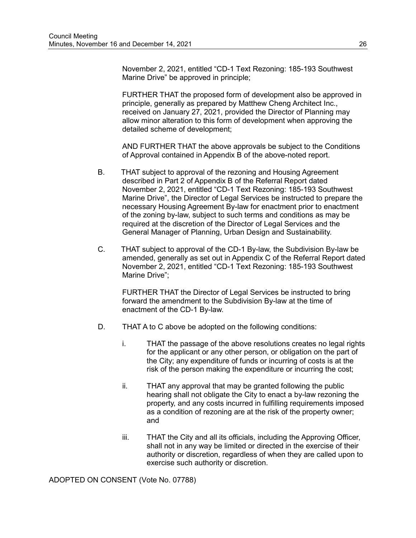November 2, 2021, entitled "CD-1 Text Rezoning: 185-193 Southwest Marine Drive" be approved in principle;

FURTHER THAT the proposed form of development also be approved in principle, generally as prepared by Matthew Cheng Architect Inc., received on January 27, 2021, provided the Director of Planning may allow minor alteration to this form of development when approving the detailed scheme of development;

AND FURTHER THAT the above approvals be subject to the Conditions of Approval contained in Appendix B of the above-noted report.

- B. THAT subject to approval of the rezoning and Housing Agreement described in Part 2 of Appendix B of the Referral Report dated November 2, 2021, entitled "CD-1 Text Rezoning: 185-193 Southwest Marine Drive", the Director of Legal Services be instructed to prepare the necessary Housing Agreement By-law for enactment prior to enactment of the zoning by-law, subject to such terms and conditions as may be required at the discretion of the Director of Legal Services and the General Manager of Planning, Urban Design and Sustainability.
- C. THAT subject to approval of the CD-1 By-law, the Subdivision By-law be amended, generally as set out in Appendix C of the Referral Report dated November 2, 2021, entitled "CD-1 Text Rezoning: 185-193 Southwest Marine Drive";

FURTHER THAT the Director of Legal Services be instructed to bring forward the amendment to the Subdivision By-law at the time of enactment of the CD-1 By-law.

- D. THAT A to C above be adopted on the following conditions:
	- i. THAT the passage of the above resolutions creates no legal rights for the applicant or any other person, or obligation on the part of the City; any expenditure of funds or incurring of costs is at the risk of the person making the expenditure or incurring the cost;
	- ii. THAT any approval that may be granted following the public hearing shall not obligate the City to enact a by-law rezoning the property, and any costs incurred in fulfilling requirements imposed as a condition of rezoning are at the risk of the property owner; and
	- iii. THAT the City and all its officials, including the Approving Officer, shall not in any way be limited or directed in the exercise of their authority or discretion, regardless of when they are called upon to exercise such authority or discretion.

ADOPTED ON CONSENT (Vote No. 07788)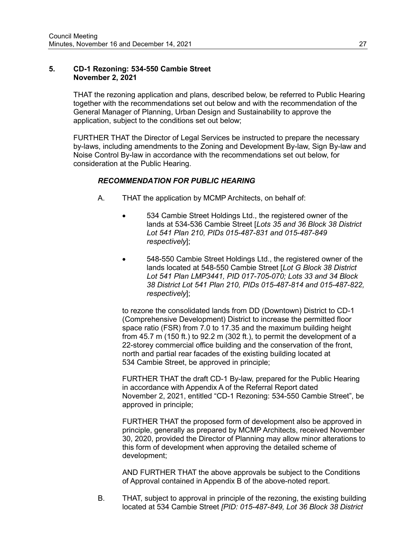#### **5. CD-1 Rezoning: 534-550 Cambie Street November 2, 2021**

THAT the rezoning application and plans, described below, be referred to Public Hearing together with the recommendations set out below and with the recommendation of the General Manager of Planning, Urban Design and Sustainability to approve the application, subject to the conditions set out below;

FURTHER THAT the Director of Legal Services be instructed to prepare the necessary by-laws, including amendments to the Zoning and Development By-law, Sign By-law and Noise Control By-law in accordance with the recommendations set out below, for consideration at the Public Hearing.

### *RECOMMENDATION FOR PUBLIC HEARING*

- A. THAT the application by MCMP Architects, on behalf of:
	- 534 Cambie Street Holdings Ltd., the registered owner of the lands at 534-536 Cambie Street [*Lots 35 and 36 Block 38 District Lot 541 Plan 210, PIDs 015-487-831 and 015-487-849 respectively*];
	- 548-550 Cambie Street Holdings Ltd., the registered owner of the lands located at 548-550 Cambie Street [*Lot G Block 38 District Lot 541 Plan LMP3441, PID 017-705-070; Lots 33 and 34 Block 38 District Lot 541 Plan 210, PIDs 015-487-814 and 015-487-822, respectively*];

to rezone the consolidated lands from DD (Downtown) District to CD-1 (Comprehensive Development) District to increase the permitted floor space ratio (FSR) from 7.0 to 17.35 and the maximum building height from 45.7 m (150 ft.) to 92.2 m (302 ft.), to permit the development of a 22-storey commercial office building and the conservation of the front, north and partial rear facades of the existing building located at 534 Cambie Street, be approved in principle;

FURTHER THAT the draft CD-1 By-law, prepared for the Public Hearing in accordance with Appendix A of the Referral Report dated November 2, 2021, entitled "CD-1 Rezoning: 534-550 Cambie Street", be approved in principle;

FURTHER THAT the proposed form of development also be approved in principle, generally as prepared by MCMP Architects, received November 30, 2020, provided the Director of Planning may allow minor alterations to this form of development when approving the detailed scheme of development;

AND FURTHER THAT the above approvals be subject to the Conditions of Approval contained in Appendix B of the above-noted report.

B. THAT, subject to approval in principle of the rezoning, the existing building located at 534 Cambie Street *[PID: 015-487-849, Lot 36 Block 38 District*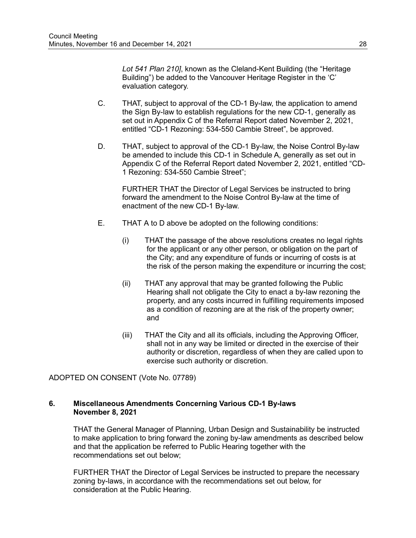*Lot 541 Plan 210]*, known as the Cleland-Kent Building (the "Heritage Building") be added to the Vancouver Heritage Register in the 'C' evaluation category.

- C. THAT, subject to approval of the CD-1 By-law, the application to amend the Sign By-law to establish regulations for the new CD-1, generally as set out in Appendix C of the Referral Report dated November 2, 2021, entitled "CD-1 Rezoning: 534-550 Cambie Street", be approved.
- D. THAT, subject to approval of the CD-1 By-law, the Noise Control By-law be amended to include this CD-1 in Schedule A, generally as set out in Appendix C of the Referral Report dated November 2, 2021, entitled "CD-1 Rezoning: 534-550 Cambie Street";

FURTHER THAT the Director of Legal Services be instructed to bring forward the amendment to the Noise Control By-law at the time of enactment of the new CD-1 By-law.

- E. THAT A to D above be adopted on the following conditions:
	- (i) THAT the passage of the above resolutions creates no legal rights for the applicant or any other person, or obligation on the part of the City; and any expenditure of funds or incurring of costs is at the risk of the person making the expenditure or incurring the cost;
	- (ii) THAT any approval that may be granted following the Public Hearing shall not obligate the City to enact a by-law rezoning the property, and any costs incurred in fulfilling requirements imposed as a condition of rezoning are at the risk of the property owner; and
	- (iii) THAT the City and all its officials, including the Approving Officer, shall not in any way be limited or directed in the exercise of their authority or discretion, regardless of when they are called upon to exercise such authority or discretion.

ADOPTED ON CONSENT (Vote No. 07789)

### **6. Miscellaneous Amendments Concerning Various CD-1 By-laws November 8, 2021**

THAT the General Manager of Planning, Urban Design and Sustainability be instructed to make application to bring forward the zoning by-law amendments as described below and that the application be referred to Public Hearing together with the recommendations set out below;

FURTHER THAT the Director of Legal Services be instructed to prepare the necessary zoning by-laws, in accordance with the recommendations set out below, for consideration at the Public Hearing.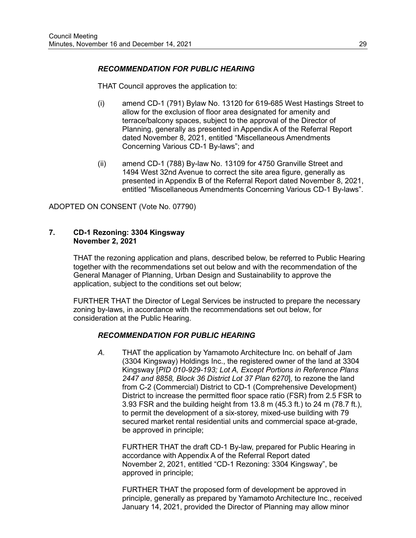### *RECOMMENDATION FOR PUBLIC HEARING*

THAT Council approves the application to:

- (i) amend CD-1 (791) Bylaw No. 13120 for 619-685 West Hastings Street to allow for the exclusion of floor area designated for amenity and terrace/balcony spaces, subject to the approval of the Director of Planning, generally as presented in Appendix A of the Referral Report dated November 8, 2021, entitled "Miscellaneous Amendments Concerning Various CD-1 By-laws"; and
- (ii) amend CD-1 (788) By-law No. 13109 for 4750 Granville Street and 1494 West 32nd Avenue to correct the site area figure, generally as presented in Appendix B of the Referral Report dated November 8, 2021, entitled "Miscellaneous Amendments Concerning Various CD-1 By-laws".

ADOPTED ON CONSENT (Vote No. 07790)

#### **7. CD-1 Rezoning: 3304 Kingsway November 2, 2021**

THAT the rezoning application and plans, described below, be referred to Public Hearing together with the recommendations set out below and with the recommendation of the General Manager of Planning, Urban Design and Sustainability to approve the application, subject to the conditions set out below;

FURTHER THAT the Director of Legal Services be instructed to prepare the necessary zoning by-laws, in accordance with the recommendations set out below, for consideration at the Public Hearing.

#### *RECOMMENDATION FOR PUBLIC HEARING*

*A.* THAT the application by Yamamoto Architecture Inc. on behalf of Jam (3304 Kingsway) Holdings Inc., the registered owner of the land at 3304 Kingsway [*PID 010-929-193; Lot A, Except Portions in Reference Plans 2447 and 8858, Block 36 District Lot 37 Plan 6270*], to rezone the land from C-2 (Commercial) District to CD-1 (Comprehensive Development) District to increase the permitted floor space ratio (FSR) from 2.5 FSR to 3.93 FSR and the building height from 13.8 m (45.3 ft.) to 24 m (78.7 ft.), to permit the development of a six-storey, mixed-use building with 79 secured market rental residential units and commercial space at-grade, be approved in principle;

FURTHER THAT the draft CD-1 By-law, prepared for Public Hearing in accordance with Appendix A of the Referral Report dated November 2, 2021, entitled "CD-1 Rezoning: 3304 Kingsway", be approved in principle;

FURTHER THAT the proposed form of development be approved in principle, generally as prepared by Yamamoto Architecture Inc., received January 14, 2021, provided the Director of Planning may allow minor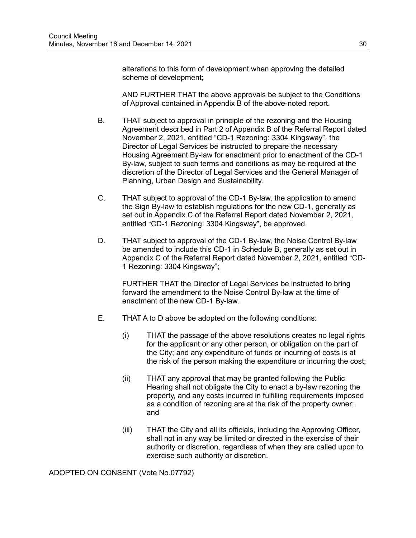alterations to this form of development when approving the detailed scheme of development;

AND FURTHER THAT the above approvals be subject to the Conditions of Approval contained in Appendix B of the above-noted report.

- B. THAT subject to approval in principle of the rezoning and the Housing Agreement described in Part 2 of Appendix B of the Referral Report dated November 2, 2021, entitled "CD-1 Rezoning: 3304 Kingsway", the Director of Legal Services be instructed to prepare the necessary Housing Agreement By-law for enactment prior to enactment of the CD-1 By-law, subject to such terms and conditions as may be required at the discretion of the Director of Legal Services and the General Manager of Planning, Urban Design and Sustainability.
- C. THAT subject to approval of the CD-1 By-law, the application to amend the Sign By-law to establish regulations for the new CD-1, generally as set out in Appendix C of the Referral Report dated November 2, 2021, entitled "CD-1 Rezoning: 3304 Kingsway", be approved.
- D. THAT subject to approval of the CD-1 By-law, the Noise Control By-law be amended to include this CD-1 in Schedule B, generally as set out in Appendix C of the Referral Report dated November 2, 2021, entitled "CD-1 Rezoning: 3304 Kingsway";

FURTHER THAT the Director of Legal Services be instructed to bring forward the amendment to the Noise Control By-law at the time of enactment of the new CD-1 By-law.

- E. THAT A to D above be adopted on the following conditions:
	- (i) THAT the passage of the above resolutions creates no legal rights for the applicant or any other person, or obligation on the part of the City; and any expenditure of funds or incurring of costs is at the risk of the person making the expenditure or incurring the cost;
	- (ii) THAT any approval that may be granted following the Public Hearing shall not obligate the City to enact a by-law rezoning the property, and any costs incurred in fulfilling requirements imposed as a condition of rezoning are at the risk of the property owner; and
	- (iii) THAT the City and all its officials, including the Approving Officer, shall not in any way be limited or directed in the exercise of their authority or discretion, regardless of when they are called upon to exercise such authority or discretion.

ADOPTED ON CONSENT (Vote No.07792)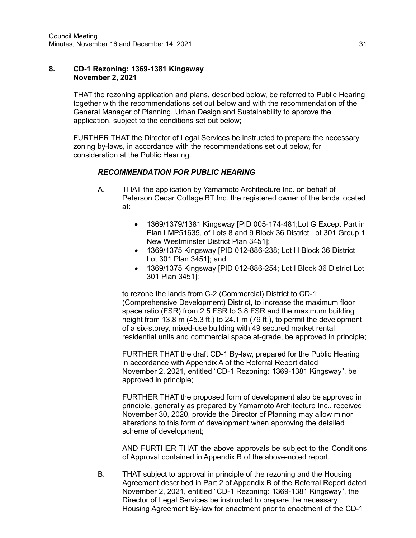#### **8. CD-1 Rezoning: 1369-1381 Kingsway November 2, 2021**

THAT the rezoning application and plans, described below, be referred to Public Hearing together with the recommendations set out below and with the recommendation of the General Manager of Planning, Urban Design and Sustainability to approve the application, subject to the conditions set out below;

FURTHER THAT the Director of Legal Services be instructed to prepare the necessary zoning by-laws, in accordance with the recommendations set out below, for consideration at the Public Hearing.

## *RECOMMENDATION FOR PUBLIC HEARING*

- A. THAT the application by Yamamoto Architecture Inc. on behalf of Peterson Cedar Cottage BT Inc. the registered owner of the lands located at:
	- 1369/1379/1381 Kingsway [PID 005-174-481;Lot G Except Part in Plan LMP51635, of Lots 8 and 9 Block 36 District Lot 301 Group 1 New Westminster District Plan 3451];
	- 1369/1375 Kingsway [PID 012-886-238; Lot H Block 36 District Lot 301 Plan 3451]; and
	- 1369/1375 Kingsway [PID 012-886-254; Lot I Block 36 District Lot 301 Plan 3451];

to rezone the lands from C-2 (Commercial) District to CD-1 (Comprehensive Development) District, to increase the maximum floor space ratio (FSR) from 2.5 FSR to 3.8 FSR and the maximum building height from 13.8 m (45.3 ft.) to 24.1 m (79 ft.), to permit the development of a six-storey, mixed-use building with 49 secured market rental residential units and commercial space at-grade, be approved in principle;

FURTHER THAT the draft CD-1 By-law, prepared for the Public Hearing in accordance with Appendix A of the Referral Report dated November 2, 2021, entitled "CD-1 Rezoning: 1369-1381 Kingsway", be approved in principle;

FURTHER THAT the proposed form of development also be approved in principle, generally as prepared by Yamamoto Architecture Inc., received November 30, 2020, provide the Director of Planning may allow minor alterations to this form of development when approving the detailed scheme of development;

AND FURTHER THAT the above approvals be subject to the Conditions of Approval contained in Appendix B of the above-noted report.

B. THAT subject to approval in principle of the rezoning and the Housing Agreement described in Part 2 of Appendix B of the Referral Report dated November 2, 2021, entitled "CD-1 Rezoning: 1369-1381 Kingsway", the Director of Legal Services be instructed to prepare the necessary Housing Agreement By-law for enactment prior to enactment of the CD-1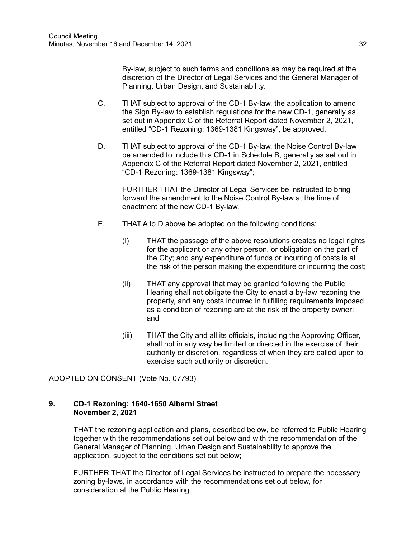By-law, subject to such terms and conditions as may be required at the discretion of the Director of Legal Services and the General Manager of Planning, Urban Design, and Sustainability.

- C. THAT subject to approval of the CD-1 By-law, the application to amend the Sign By-law to establish regulations for the new CD-1, generally as set out in Appendix C of the Referral Report dated November 2, 2021, entitled "CD-1 Rezoning: 1369-1381 Kingsway", be approved.
- D. THAT subject to approval of the CD-1 By-law, the Noise Control By-law be amended to include this CD-1 in Schedule B, generally as set out in Appendix C of the Referral Report dated November 2, 2021, entitled "CD-1 Rezoning: 1369-1381 Kingsway";

FURTHER THAT the Director of Legal Services be instructed to bring forward the amendment to the Noise Control By-law at the time of enactment of the new CD-1 By-law.

- E. THAT A to D above be adopted on the following conditions:
	- (i) THAT the passage of the above resolutions creates no legal rights for the applicant or any other person, or obligation on the part of the City; and any expenditure of funds or incurring of costs is at the risk of the person making the expenditure or incurring the cost;
	- (ii) THAT any approval that may be granted following the Public Hearing shall not obligate the City to enact a by-law rezoning the property, and any costs incurred in fulfilling requirements imposed as a condition of rezoning are at the risk of the property owner; and
	- (iii) THAT the City and all its officials, including the Approving Officer, shall not in any way be limited or directed in the exercise of their authority or discretion, regardless of when they are called upon to exercise such authority or discretion.

ADOPTED ON CONSENT (Vote No. 07793)

### **9. CD-1 Rezoning: 1640-1650 Alberni Street November 2, 2021**

THAT the rezoning application and plans, described below, be referred to Public Hearing together with the recommendations set out below and with the recommendation of the General Manager of Planning, Urban Design and Sustainability to approve the application, subject to the conditions set out below;

FURTHER THAT the Director of Legal Services be instructed to prepare the necessary zoning by-laws, in accordance with the recommendations set out below, for consideration at the Public Hearing.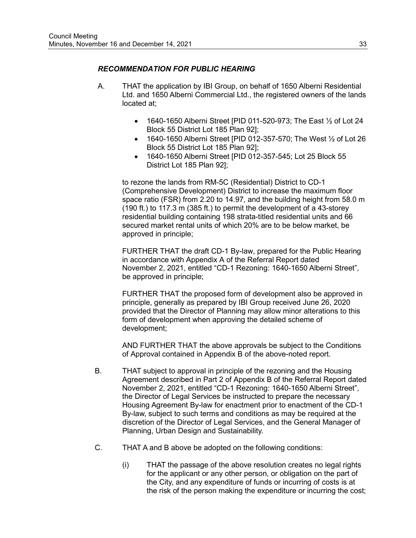## *RECOMMENDATION FOR PUBLIC HEARING*

- A. THAT the application by IBI Group, on behalf of 1650 Alberni Residential Ltd. and 1650 Alberni Commercial Ltd., the registered owners of the lands located at;
	- 1640-1650 Alberni Street [PID 011-520-973; The East ½ of Lot 24 Block 55 District Lot 185 Plan 92];
	- 1640-1650 Alberni Street [PID 012-357-570; The West ½ of Lot 26 Block 55 District Lot 185 Plan 92];
	- 1640-1650 Alberni Street [PID 012-357-545; Lot 25 Block 55 District Lot 185 Plan 92];

to rezone the lands from RM-5C (Residential) District to CD-1 (Comprehensive Development) District to increase the maximum floor space ratio (FSR) from 2.20 to 14.97, and the building height from 58.0 m (190 ft.) to 117.3 m (385 ft.) to permit the development of a 43-storey residential building containing 198 strata-titled residential units and 66 secured market rental units of which 20% are to be below market, be approved in principle;

FURTHER THAT the draft CD-1 By-law, prepared for the Public Hearing in accordance with Appendix A of the Referral Report dated November 2, 2021, entitled "CD-1 Rezoning: 1640-1650 Alberni Street", be approved in principle;

FURTHER THAT the proposed form of development also be approved in principle, generally as prepared by IBI Group received June 26, 2020 provided that the Director of Planning may allow minor alterations to this form of development when approving the detailed scheme of development;

AND FURTHER THAT the above approvals be subject to the Conditions of Approval contained in Appendix B of the above-noted report.

- B. THAT subject to approval in principle of the rezoning and the Housing Agreement described in Part 2 of Appendix B of the Referral Report dated November 2, 2021, entitled "CD-1 Rezoning: 1640-1650 Alberni Street", the Director of Legal Services be instructed to prepare the necessary Housing Agreement By-law for enactment prior to enactment of the CD-1 By-law, subject to such terms and conditions as may be required at the discretion of the Director of Legal Services, and the General Manager of Planning, Urban Design and Sustainability.
- C. THAT A and B above be adopted on the following conditions:
	- (i) THAT the passage of the above resolution creates no legal rights for the applicant or any other person, or obligation on the part of the City, and any expenditure of funds or incurring of costs is at the risk of the person making the expenditure or incurring the cost;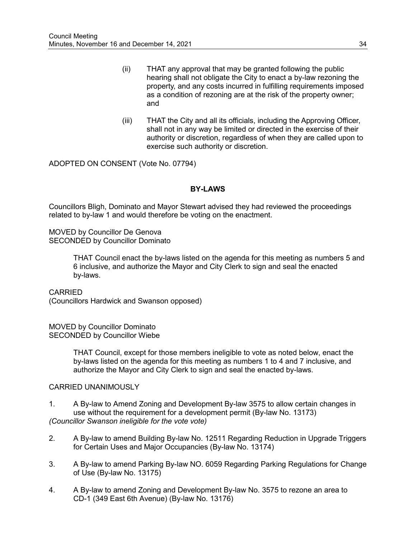- (ii) THAT any approval that may be granted following the public hearing shall not obligate the City to enact a by-law rezoning the property, and any costs incurred in fulfilling requirements imposed as a condition of rezoning are at the risk of the property owner; and
- (iii) THAT the City and all its officials, including the Approving Officer, shall not in any way be limited or directed in the exercise of their authority or discretion, regardless of when they are called upon to exercise such authority or discretion.

ADOPTED ON CONSENT (Vote No. 07794)

### **BY-LAWS**

Councillors Bligh, Dominato and Mayor Stewart advised they had reviewed the proceedings related to by-law 1 and would therefore be voting on the enactment.

MOVED by Councillor De Genova SECONDED by Councillor Dominato

> THAT Council enact the by-laws listed on the agenda for this meeting as numbers 5 and 6 inclusive, and authorize the Mayor and City Clerk to sign and seal the enacted by-laws.

CARRIED

(Councillors Hardwick and Swanson opposed)

MOVED by Councillor Dominato SECONDED by Councillor Wiebe

> THAT Council, except for those members ineligible to vote as noted below, enact the by-laws listed on the agenda for this meeting as numbers 1 to 4 and 7 inclusive, and authorize the Mayor and City Clerk to sign and seal the enacted by-laws.

#### CARRIED UNANIMOUSLY

- 1. A By-law to Amend Zoning and Development By-law 3575 to allow certain changes in use without the requirement for a development permit (By-law No. 13173) *(Councillor Swanson ineligible for the vote vote)*
- 2. A By-law to amend Building By-law No. 12511 Regarding Reduction in Upgrade Triggers for Certain Uses and Major Occupancies (By-law No. 13174)
- 3. A By-law to amend Parking By-law NO. 6059 Regarding Parking Regulations for Change of Use (By-law No. 13175)
- 4. A By-law to amend Zoning and Development By-law No. 3575 to rezone an area to CD-1 (349 East 6th Avenue) (By-law No. 13176)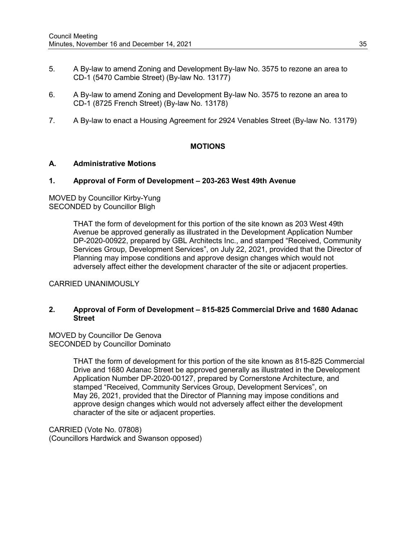- 5. A By-law to amend Zoning and Development By-law No. 3575 to rezone an area to CD-1 (5470 Cambie Street) (By-law No. 13177)
- 6. A By-law to amend Zoning and Development By-law No. 3575 to rezone an area to CD-1 (8725 French Street) (By-law No. 13178)
- 7. A By-law to enact a Housing Agreement for 2924 Venables Street (By-law No. 13179)

### **MOTIONS**

#### **A. Administrative Motions**

#### **1. Approval of Form of Development – 203-263 West 49th Avenue**

MOVED by Councillor Kirby-Yung SECONDED by Councillor Bligh

> THAT the form of development for this portion of the site known as 203 West 49th Avenue be approved generally as illustrated in the Development Application Number DP-2020-00922, prepared by GBL Architects Inc., and stamped "Received, Community Services Group, Development Services", on July 22, 2021, provided that the Director of Planning may impose conditions and approve design changes which would not adversely affect either the development character of the site or adjacent properties.

CARRIED UNANIMOUSLY

### **2. Approval of Form of Development – 815-825 Commercial Drive and 1680 Adanac Street**

MOVED by Councillor De Genova SECONDED by Councillor Dominato

> THAT the form of development for this portion of the site known as 815-825 Commercial Drive and 1680 Adanac Street be approved generally as illustrated in the Development Application Number DP-2020-00127, prepared by Cornerstone Architecture, and stamped "Received, Community Services Group, Development Services", on May 26, 2021, provided that the Director of Planning may impose conditions and approve design changes which would not adversely affect either the development character of the site or adjacent properties.

CARRIED (Vote No. 07808) (Councillors Hardwick and Swanson opposed)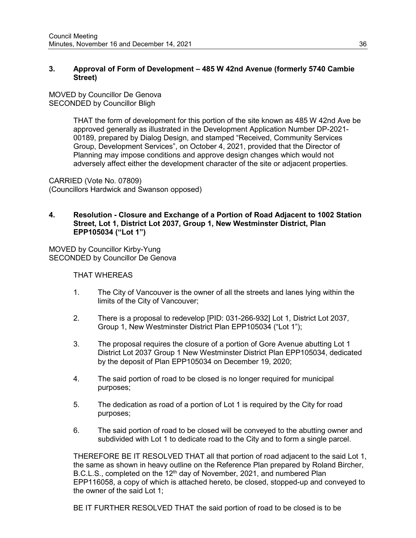### **3. Approval of Form of Development – 485 W 42nd Avenue (formerly 5740 Cambie Street)**

MOVED by Councillor De Genova SECONDED by Councillor Bligh

> THAT the form of development for this portion of the site known as 485 W 42nd Ave be approved generally as illustrated in the Development Application Number DP-2021- 00189, prepared by Dialog Design, and stamped "Received, Community Services Group, Development Services", on October 4, 2021, provided that the Director of Planning may impose conditions and approve design changes which would not adversely affect either the development character of the site or adjacent properties.

CARRIED (Vote No. 07809) (Councillors Hardwick and Swanson opposed)

## **4. Resolution - Closure and Exchange of a Portion of Road Adjacent to 1002 Station Street, Lot 1, District Lot 2037, Group 1, New Westminster District, Plan EPP105034 ("Lot 1")**

MOVED by Councillor Kirby-Yung SECONDED by Councillor De Genova

THAT WHEREAS

- 1. The City of Vancouver is the owner of all the streets and lanes lying within the limits of the City of Vancouver;
- 2. There is a proposal to redevelop [PID: 031-266-932] Lot 1, District Lot 2037, Group 1, New Westminster District Plan EPP105034 ("Lot 1");
- 3. The proposal requires the closure of a portion of Gore Avenue abutting Lot 1 District Lot 2037 Group 1 New Westminster District Plan EPP105034, dedicated by the deposit of Plan EPP105034 on December 19, 2020;
- 4. The said portion of road to be closed is no longer required for municipal purposes;
- 5. The dedication as road of a portion of Lot 1 is required by the City for road purposes;
- 6. The said portion of road to be closed will be conveyed to the abutting owner and subdivided with Lot 1 to dedicate road to the City and to form a single parcel.

THEREFORE BE IT RESOLVED THAT all that portion of road adjacent to the said Lot 1, the same as shown in heavy outline on the Reference Plan prepared by Roland Bircher, B.C.L.S., completed on the 12<sup>th</sup> day of November, 2021, and numbered Plan EPP116058, a copy of which is attached hereto, be closed, stopped-up and conveyed to the owner of the said Lot 1;

BE IT FURTHER RESOLVED THAT the said portion of road to be closed is to be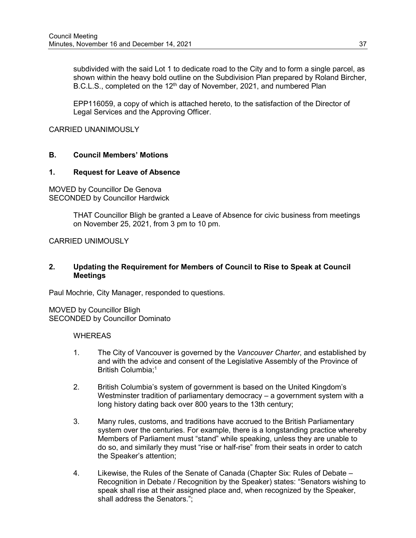subdivided with the said Lot 1 to dedicate road to the City and to form a single parcel, as shown within the heavy bold outline on the Subdivision Plan prepared by Roland Bircher, B.C.L.S., completed on the 12<sup>th</sup> day of November, 2021, and numbered Plan

EPP116059, a copy of which is attached hereto, to the satisfaction of the Director of Legal Services and the Approving Officer.

CARRIED UNANIMOUSLY

## **B. Council Members' Motions**

#### **1. Request for Leave of Absence**

MOVED by Councillor De Genova SECONDED by Councillor Hardwick

> THAT Councillor Bligh be granted a Leave of Absence for civic business from meetings on November 25, 2021, from 3 pm to 10 pm.

CARRIED UNIMOUSLY

### **2. Updating the Requirement for Members of Council to Rise to Speak at Council Meetings**

Paul Mochrie, City Manager, responded to questions.

MOVED by Councillor Bligh SECONDED by Councillor Dominato

#### **WHEREAS**

- 1. The City of Vancouver is governed by the *Vancouver Charter*, and established by and with the advice and consent of the Legislative Assembly of the Province of British Columbia:<sup>1</sup>
- 2. British Columbia's system of government is based on the United Kingdom's Westminster tradition of parliamentary democracy – a government system with a long history dating back over 800 years to the 13th century;
- 3. Many rules, customs, and traditions have accrued to the British Parliamentary system over the centuries. For example, there is a longstanding practice whereby Members of Parliament must "stand" while speaking, unless they are unable to do so, and similarly they must "rise or half-rise" from their seats in order to catch the Speaker's attention;
- 4. Likewise, the Rules of the Senate of Canada (Chapter Six: Rules of Debate Recognition in Debate / Recognition by the Speaker) states: "Senators wishing to speak shall rise at their assigned place and, when recognized by the Speaker, shall address the Senators.";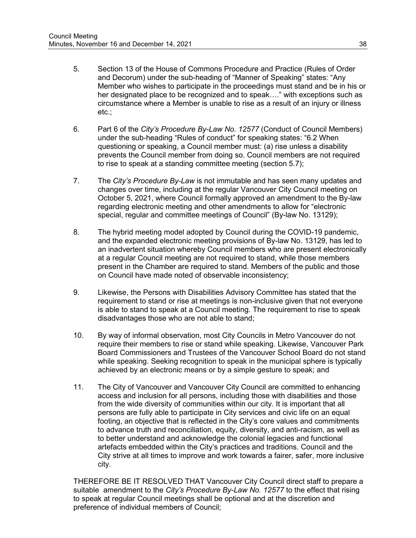- 5. Section 13 of the House of Commons Procedure and Practice (Rules of Order and Decorum) under the sub-heading of "Manner of Speaking" states: "Any Member who wishes to participate in the proceedings must stand and be in his or her designated place to be recognized and to speak…." with exceptions such as circumstance where a Member is unable to rise as a result of an injury or illness etc.;
- 6. Part 6 of the *City's Procedure By-Law No. 12577* (Conduct of Council Members) under the sub-heading "Rules of conduct" for speaking states: "6.2 When questioning or speaking, a Council member must: (a) rise unless a disability prevents the Council member from doing so. Council members are not required to rise to speak at a standing committee meeting (section 5.7);
- 7. The *City's Procedure By-Law* is not immutable and has seen many updates and changes over time, including at the regular Vancouver City Council meeting on October 5, 2021, where Council formally approved an amendment to the By-law regarding electronic meeting and other amendments to allow for "electronic special, regular and committee meetings of Council" (By-law No. 13129);
- 8. The hybrid meeting model adopted by Council during the COVID-19 pandemic, and the expanded electronic meeting provisions of By-law No. 13129, has led to an inadvertent situation whereby Council members who are present electronically at a regular Council meeting are not required to stand, while those members present in the Chamber are required to stand. Members of the public and those on Council have made noted of observable inconsistency;
- 9. Likewise, the Persons with Disabilities Advisory Committee has stated that the requirement to stand or rise at meetings is non-inclusive given that not everyone is able to stand to speak at a Council meeting. The requirement to rise to speak disadvantages those who are not able to stand;
- 10. By way of informal observation, most City Councils in Metro Vancouver do not require their members to rise or stand while speaking. Likewise, Vancouver Park Board Commissioners and Trustees of the Vancouver School Board do not stand while speaking. Seeking recognition to speak in the municipal sphere is typically achieved by an electronic means or by a simple gesture to speak; and
- 11. The City of Vancouver and Vancouver City Council are committed to enhancing access and inclusion for all persons, including those with disabilities and those from the wide diversity of communities within our city. It is important that all persons are fully able to participate in City services and civic life on an equal footing, an objective that is reflected in the City's core values and commitments to advance truth and reconciliation, equity, diversity, and anti-racism, as well as to better understand and acknowledge the colonial legacies and functional artefacts embedded within the City's practices and traditions. Council and the City strive at all times to improve and work towards a fairer, safer, more inclusive city.

THEREFORE BE IT RESOLVED THAT Vancouver City Council direct staff to prepare a suitable amendment to the *City's Procedure By-Law No. 12577* to the effect that rising to speak at regular Council meetings shall be optional and at the discretion and preference of individual members of Council;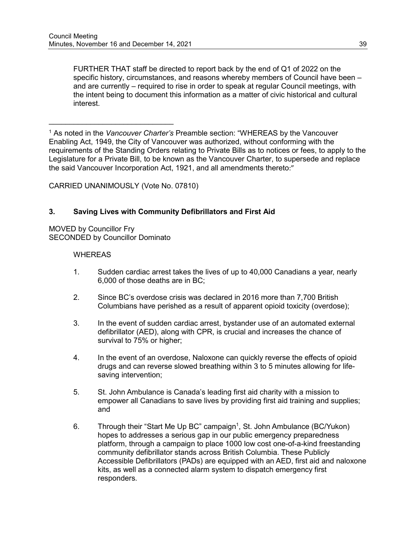FURTHER THAT staff be directed to report back by the end of Q1 of 2022 on the specific history, circumstances, and reasons whereby members of Council have been – and are currently – required to rise in order to speak at regular Council meetings, with the intent being to document this information as a matter of civic historical and cultural interest.

<sup>1</sup> As noted in the *Vancouver Charter's* Preamble section: "WHEREAS by the Vancouver Enabling Act, 1949, the City of Vancouver was authorized, without conforming with the requirements of the Standing Orders relating to Private Bills as to notices or fees, to apply to the Legislature for a Private Bill, to be known as the Vancouver Charter, to supersede and replace the said Vancouver Incorporation Act, 1921, and all amendments thereto:"

CARRIED UNANIMOUSLY (Vote No. 07810)

### **3. Saving Lives with Community Defibrillators and First Aid**

MOVED by Councillor Fry SECONDED by Councillor Dominato

 $\_$ 

### **WHEREAS**

- 1. Sudden cardiac arrest takes the lives of up to 40,000 Canadians a year, nearly 6,000 of those deaths are in BC;
- 2. Since BC's overdose crisis was declared in 2016 more than 7,700 British Columbians have perished as a result of apparent opioid toxicity (overdose);
- 3. In the event of sudden cardiac arrest, bystander use of an automated external defibrillator (AED), along with CPR, is crucial and increases the chance of survival to 75% or higher;
- 4. In the event of an overdose, Naloxone can quickly reverse the effects of opioid drugs and can reverse slowed breathing within 3 to 5 minutes allowing for lifesaving intervention;
- 5. St. John Ambulance is Canada's leading first aid charity with a mission to empower all Canadians to save lives by providing first aid training and supplies; and
- 6. Through their "Start Me Up BC" campaign<sup>1</sup>, St. John Ambulance (BC/Yukon) hopes to addresses a serious gap in our public emergency preparedness platform, through a campaign to place 1000 low cost one-of-a-kind freestanding community defibrillator stands across British Columbia. These Publicly Accessible Defibrillators (PADs) are equipped with an AED, first aid and naloxone kits, as well as a connected alarm system to dispatch emergency first responders.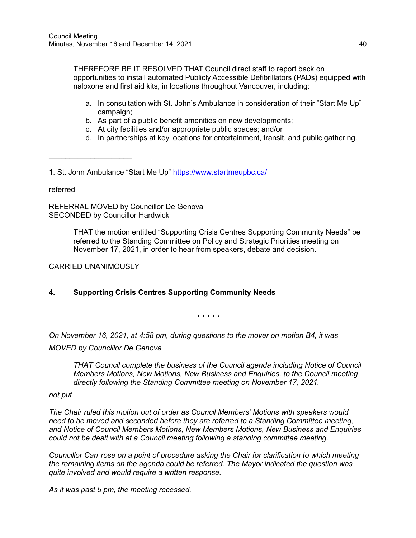THEREFORE BE IT RESOLVED THAT Council direct staff to report back on opportunities to install automated Publicly Accessible Defibrillators (PADs) equipped with naloxone and first aid kits, in locations throughout Vancouver, including:

- a. In consultation with St. John's Ambulance in consideration of their "Start Me Up" campaign;
- b. As part of a public benefit amenities on new developments;
- c. At city facilities and/or appropriate public spaces; and/or
- d. In partnerships at key locations for entertainment, transit, and public gathering.

1. St. John Ambulance "Start Me Up"<https://www.startmeupbc.ca/>

referred

REFERRAL MOVED by Councillor De Genova SECONDED by Councillor Hardwick

> THAT the motion entitled "Supporting Crisis Centres Supporting Community Needs" be referred to the Standing Committee on Policy and Strategic Priorities meeting on November 17, 2021, in order to hear from speakers, debate and decision.

CARRIED UNANIMOUSLY

 $\overline{\phantom{a}}$  , where  $\overline{\phantom{a}}$  , where  $\overline{\phantom{a}}$ 

## **4. Supporting Crisis Centres Supporting Community Needs**

*\* \* \* \* \**

*On November 16, 2021, at 4:58 pm, during questions to the mover on motion B4, it was*

*MOVED by Councillor De Genova*

*THAT Council complete the business of the Council agenda including Notice of Council Members Motions, New Motions, New Business and Enquiries, to the Council meeting directly following the Standing Committee meeting on November 17, 2021.* 

*not put*

*The Chair ruled this motion out of order as Council Members' Motions with speakers would need to be moved and seconded before they are referred to a Standing Committee meeting, and Notice of Council Members Motions, New Members Motions, New Business and Enquiries could not be dealt with at a Council meeting following a standing committee meeting.*

*Councillor Carr rose on a point of procedure asking the Chair for clarification to which meeting the remaining items on the agenda could be referred. The Mayor indicated the question was quite involved and would require a written response.*

*As it was past 5 pm, the meeting recessed.*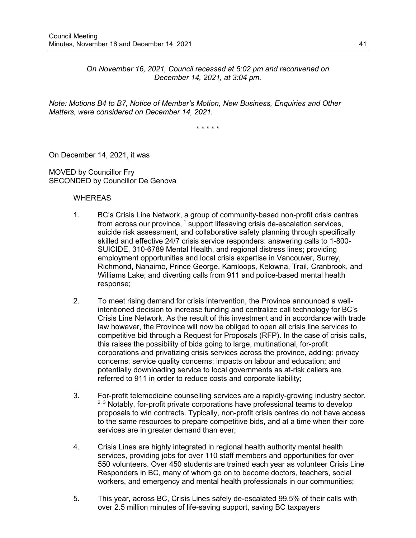*On November 16, 2021, Council recessed at 5:02 pm and reconvened on December 14, 2021, at 3:04 pm.*

*Note: Motions B4 to B7, Notice of Member's Motion, New Business, Enquiries and Other Matters, were considered on December 14, 2021.*

\* \* \* \* \*

On December 14, 2021, it was

MOVED by Councillor Fry SECONDED by Councillor De Genova

#### **WHEREAS**

- 1. BC's Crisis Line Network, a group of community-based non-profit crisis centres from across our province, <sup>1</sup> support lifesaving crisis de-escalation services, suicide risk assessment, and collaborative safety planning through specifically skilled and effective 24/7 crisis service responders: answering calls to 1-800- SUICIDE, 310-6789 Mental Health, and regional distress lines; providing employment opportunities and local crisis expertise in Vancouver, Surrey, Richmond, Nanaimo, Prince George, Kamloops, Kelowna, Trail, Cranbrook, and Williams Lake; and diverting calls from 911 and police-based mental health response;
- 2. To meet rising demand for crisis intervention, the Province announced a wellintentioned decision to increase funding and centralize call technology for BC's Crisis Line Network. As the result of this investment and in accordance with trade law however, the Province will now be obliged to open all crisis line services to competitive bid through a Request for Proposals (RFP). In the case of crisis calls, this raises the possibility of bids going to large, multinational, for-profit corporations and privatizing crisis services across the province, adding: privacy concerns; service quality concerns; impacts on labour and education; and potentially downloading service to local governments as at-risk callers are referred to 911 in order to reduce costs and corporate liability;
- 3. For-profit telemedicine counselling services are a rapidly-growing industry sector. <sup>2, 3</sup> Notably, for-profit private corporations have professional teams to develop proposals to win contracts. Typically, non-profit crisis centres do not have access to the same resources to prepare competitive bids, and at a time when their core services are in greater demand than ever;
- 4. Crisis Lines are highly integrated in regional health authority mental health services, providing jobs for over 110 staff members and opportunities for over 550 volunteers. Over 450 students are trained each year as volunteer Crisis Line Responders in BC, many of whom go on to become doctors, teachers, social workers, and emergency and mental health professionals in our communities;
- 5. This year, across BC, Crisis Lines safely de-escalated 99.5% of their calls with over 2.5 million minutes of life-saving support, saving BC taxpayers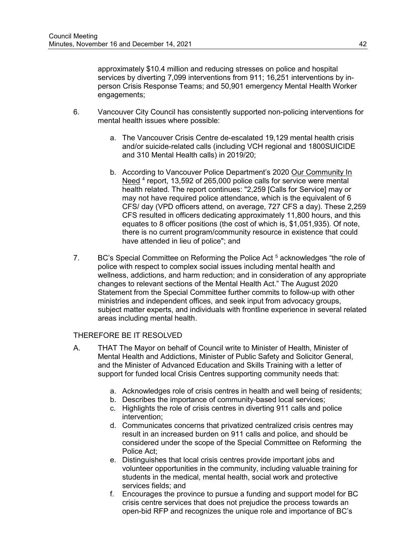approximately \$10.4 million and reducing stresses on police and hospital services by diverting 7,099 interventions from 911; 16,251 interventions by inperson Crisis Response Teams; and 50,901 emergency Mental Health Worker engagements;

- 6. Vancouver City Council has consistently supported non-policing interventions for mental health issues where possible:
	- a. The Vancouver Crisis Centre de-escalated 19,129 mental health crisis and/or suicide-related calls (including VCH regional and 1800SUICIDE and 310 Mental Health calls) in 2019/20;
	- b. According to Vancouver Police Department's 2020 Our Community In Need <sup>4</sup> report, 13,592 of 265,000 police calls for service were mental health related. The report continues: "2,259 [Calls for Service] may or may not have required police attendance, which is the equivalent of 6 CFS/ day (VPD officers attend, on average, 727 CFS a day). These 2,259 CFS resulted in officers dedicating approximately 11,800 hours, and this equates to 8 officer positions (the cost of which is, \$1,051,935). Of note, there is no current program/community resource in existence that could have attended in lieu of police"; and
- 7. BC's Special Committee on Reforming the Police Act<sup>5</sup> acknowledges "the role of police with respect to complex social issues including mental health and wellness, addictions, and harm reduction; and in consideration of any appropriate changes to relevant sections of the Mental Health Act." The August 2020 Statement from the Special Committee further commits to follow-up with other ministries and independent offices, and seek input from advocacy groups, subject matter experts, and individuals with frontline experience in several related areas including mental health.

## THEREFORE BE IT RESOLVED

- A. THAT The Mayor on behalf of Council write to Minister of Health, Minister of Mental Health and Addictions, Minister of Public Safety and Solicitor General, and the Minister of Advanced Education and Skills Training with a letter of support for funded local Crisis Centres supporting community needs that:
	- a. Acknowledges role of crisis centres in health and well being of residents;
	- b. Describes the importance of community-based local services;
	- c. Highlights the role of crisis centres in diverting 911 calls and police intervention;
	- d. Communicates concerns that privatized centralized crisis centres may result in an increased burden on 911 calls and police, and should be considered under the scope of the Special Committee on Reforming the Police Act;
	- e. Distinguishes that local crisis centres provide important jobs and volunteer opportunities in the community, including valuable training for students in the medical, mental health, social work and protective services fields; and
	- f. Encourages the province to pursue a funding and support model for BC crisis centre services that does not prejudice the process towards an open-bid RFP and recognizes the unique role and importance of BC's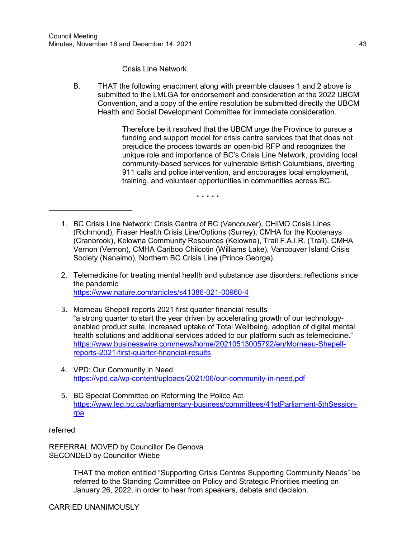\_\_\_\_\_\_\_\_\_\_\_\_\_\_\_\_\_\_\_\_

Crisis Line Network.

B. THAT the following enactment along with preamble clauses 1 and 2 above is submitted to the LMLGA for endorsement and consideration at the 2022 UBCM Convention, and a copy of the entire resolution be submitted directly the UBCM Health and Social Development Committee for immediate consideration.

> Therefore be it resolved that the UBCM urge the Province to pursue a funding and support model for crisis centre services that that does not prejudice the process towards an open-bid RFP and recognizes the unique role and importance of BC's Crisis Line Network, providing local community-based services for vulnerable British Columbians, diverting 911 calls and police intervention, and encourages local employment, training, and volunteer opportunities in communities across BC.

> > \* \* \* \* \*

- 1. BC Crisis Line Network: Crisis Centre of BC (Vancouver), CHIMO Crisis Lines (Richmond), Fraser Health Crisis Line/Options (Surrey), CMHA for the Kootenays (Cranbrook), Kelowna Community Resources (Kelowna), Trail F.A.I.R. (Trail), CMHA Vernon (Vernon), CMHA Cariboo Chilcotin (Williams Lake), Vancouver Island Crisis Society (Nanaimo), Northern BC Crisis Line (Prince George).
- 2. Telemedicine for treating mental health and substance use disorders: reflections since the pandemic <https://www.nature.com/articles/s41386-021-00960-4>
- 3. Morneau Shepell reports 2021 first quarter financial results "a strong quarter to start the year driven by accelerating growth of our technologyenabled product suite, increased uptake of Total Wellbeing, adoption of digital mental health solutions and additional services added to our platform such as telemedicine." [https://www.businesswire.com/news/home/20210513005792/en/Morneau-Shepell](https://www.businesswire.com/news/home/20210513005792/en/Morneau-Shepell-reports-2021-first-quarter-financial-results)[reports-2021-first-quarter-financial-results](https://www.businesswire.com/news/home/20210513005792/en/Morneau-Shepell-reports-2021-first-quarter-financial-results)
- 4. VPD: Our Community in Need [https://vpd.ca/wp-content/uploads/2021/06/our-community-in-need.pdf](https://urldefense.com/v3/__https:/vpd.ca/wp-content/uploads/2021/06/our-community-in-need.pdf__;!!G4oVokrRG-Im!5o6oiVfehdY2c_2OV-kDkfaiJPxni4_XcEPSD6x9PggjPFSTLqTDikQ_RsUdaIWyDbpq$)
- 5. BC Special Committee on Reforming the Police Act [https://www.leg.bc.ca/parliamentary-business/committees/41stParliament-5thSession](https://www.leg.bc.ca/parliamentary-business/committees/41stParliament-5thSession-rpa)[rpa](https://www.leg.bc.ca/parliamentary-business/committees/41stParliament-5thSession-rpa)

referred

REFERRAL MOVED by Councillor De Genova SECONDED by Councillor Wiebe

> THAT the motion entitled "Supporting Crisis Centres Supporting Community Needs" be referred to the Standing Committee on Policy and Strategic Priorities meeting on January 26, 2022, in order to hear from speakers, debate and decision.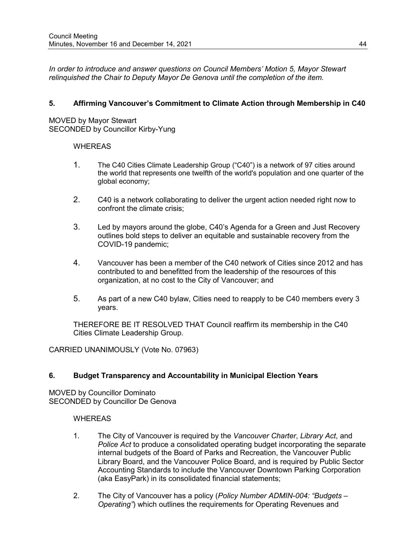*In order to introduce and answer questions on Council Members' Motion 5, Mayor Stewart relinquished the Chair to Deputy Mayor De Genova until the completion of the item.*

## **5. Affirming Vancouver's Commitment to Climate Action through Membership in C40**

MOVED by Mayor Stewart SECONDED by Councillor Kirby-Yung

### **WHEREAS**

- 1. The C40 Cities Climate Leadership Group ("C40") is a network of 97 cities around the world that represents one twelfth of the world's population and one quarter of the global economy;
- 2. C40 is a network collaborating to deliver the urgent action needed right now to confront the climate crisis;
- 3. Led by mayors around the globe, C40's Agenda for a Green and Just Recovery outlines bold steps to deliver an equitable and sustainable recovery from the COVID-19 pandemic;
- 4. Vancouver has been a member of the C40 network of Cities since 2012 and has contributed to and benefitted from the leadership of the resources of this organization, at no cost to the City of Vancouver; and
- 5. As part of a new C40 bylaw, Cities need to reapply to be C40 members every 3 years.

THEREFORE BE IT RESOLVED THAT Council reaffirm its membership in the C40 Cities Climate Leadership Group.

CARRIED UNANIMOUSLY (Vote No. 07963)

## **6. Budget Transparency and Accountability in Municipal Election Years**

MOVED by Councillor Dominato SECONDED by Councillor De Genova

#### **WHEREAS**

- 1. The City of Vancouver is required by the *Vancouver Charter*, *Library Act*, and *Police Act* to produce a consolidated operating budget incorporating the separate internal budgets of the Board of Parks and Recreation, the Vancouver Public Library Board, and the Vancouver Police Board, and is required by Public Sector Accounting Standards to include the Vancouver Downtown Parking Corporation (aka EasyPark) in its consolidated financial statements;
- 2. The City of Vancouver has a policy (*Policy Number ADMIN-004: "Budgets – Operating"*) which outlines the requirements for Operating Revenues and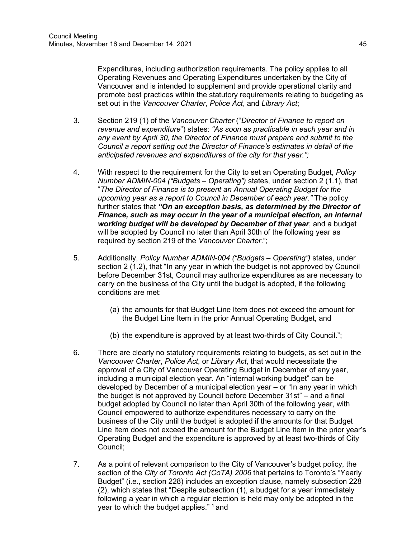Expenditures, including authorization requirements. The policy applies to all Operating Revenues and Operating Expenditures undertaken by the City of Vancouver and is intended to supplement and provide operational clarity and promote best practices within the statutory requirements relating to budgeting as set out in the *Vancouver Charter*, *Police Act*, and *Library Act*;

- 3. Section 219 (1) of the *Vancouver Charter* ("*Director of Finance to report on revenue and expenditure*") states: *"As soon as practicable in each year and in any event by April 30, the Director of Finance must prepare and submit to the Council a report setting out the Director of Finance's estimates in detail of the anticipated revenues and expenditures of the city for that year.";*
- 4. With respect to the requirement for the City to set an Operating Budget, *Policy Number ADMIN-004 ("Budgets – Operating")* states, under section 2 (1.1), that "*The Director of Finance is to present an Annual Operating Budget for the upcoming year as a report to Council in December of each year."* The policy further states that *"On an exception basis, as determined by the Director of Finance, such as may occur in the year of a municipal election, an internal working budget will be developed by December of that year*, and a budget will be adopted by Council no later than April 30th of the following year as required by section 219 of the *Vancouver Charter*.";
- 5. Additionally, *Policy Number ADMIN-004 ("Budgets – Operating")* states, under section 2 (1.2), that "In any year in which the budget is not approved by Council before December 31st, Council may authorize expenditures as are necessary to carry on the business of the City until the budget is adopted, if the following conditions are met:
	- (a) the amounts for that Budget Line Item does not exceed the amount for the Budget Line Item in the prior Annual Operating Budget, and
	- (b) the expenditure is approved by at least two-thirds of City Council.";
- 6. There are clearly no statutory requirements relating to budgets, as set out in the *Vancouver Charter*, *Police Act*, or *Library Act*, that would necessitate the approval of a City of Vancouver Operating Budget in December of any year, including a municipal election year. An "internal working budget" can be developed by December of a municipal election year – or "In any year in which the budget is not approved by Council before December 31st" – and a final budget adopted by Council no later than April 30th of the following year, with Council empowered to authorize expenditures necessary to carry on the business of the City until the budget is adopted if the amounts for that Budget Line Item does not exceed the amount for the Budget Line Item in the prior year's Operating Budget and the expenditure is approved by at least two-thirds of City Council;
- 7. As a point of relevant comparison to the City of Vancouver's budget policy, the section of the *City of Toronto Act (CoTA) 2006* that pertains to Toronto's "Yearly Budget" (i.e., section 228) includes an exception clause, namely subsection 228 (2), which states that "Despite subsection (1), a budget for a year immediately following a year in which a regular election is held may only be adopted in the year to which the budget applies." <sup>1</sup> and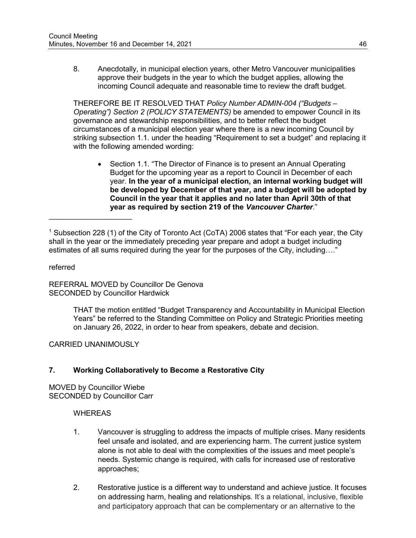8. Anecdotally, in municipal election years, other Metro Vancouver municipalities approve their budgets in the year to which the budget applies, allowing the incoming Council adequate and reasonable time to review the draft budget.

THEREFORE BE IT RESOLVED THAT *Policy Number ADMIN-004 ("Budgets – Operating") Section 2 (POLICY STATEMENTS)* be amended to empower Council in its governance and stewardship responsibilities, and to better reflect the budget circumstances of a municipal election year where there is a new incoming Council by striking subsection 1.1. under the heading "Requirement to set a budget" and replacing it with the following amended wording:

• Section 1.1. "The Director of Finance is to present an Annual Operating Budget for the upcoming year as a report to Council in December of each year. **In the year of a municipal election, an internal working budget will be developed by December of that year, and a budget will be adopted by Council in the year that it applies and no later than April 30th of that year as required by section 219 of the** *Vancouver Charter.*"

referred

REFERRAL MOVED by Councillor De Genova SECONDED by Councillor Hardwick

> THAT the motion entitled "Budget Transparency and Accountability in Municipal Election Years" be referred to the Standing Committee on Policy and Strategic Priorities meeting on January 26, 2022, in order to hear from speakers, debate and decision.

CARRIED UNANIMOUSLY

 $\overline{\phantom{a}}$  , where  $\overline{\phantom{a}}$  , where  $\overline{\phantom{a}}$  , where  $\overline{\phantom{a}}$ 

## **7. Working Collaboratively to Become a Restorative City**

MOVED by Councillor Wiebe SECONDED by Councillor Carr

#### **WHEREAS**

- 1. Vancouver is struggling to address the impacts of multiple crises. Many residents feel unsafe and isolated, and are experiencing harm. The current justice system alone is not able to deal with the complexities of the issues and meet people's needs. Systemic change is required, with calls for increased use of restorative approaches;
- 2. Restorative justice is a different way to understand and achieve justice. It focuses on addressing harm, healing and relationships. It's a relational, inclusive, flexible and participatory approach that can be complementary or an alternative to the

<sup>1</sup> Subsection 228 (1) of the City of Toronto Act (CoTA) 2006 states that "For each year, the City shall in the year or the immediately preceding year prepare and adopt a budget including estimates of all sums required during the year for the purposes of the City, including…."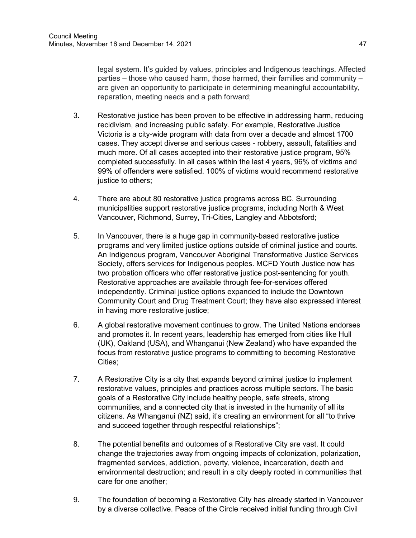legal system. It's guided by values, principles and Indigenous teachings. Affected parties – those who caused harm, those harmed, their families and community – are given an opportunity to participate in determining meaningful accountability, reparation, meeting needs and a path forward;

- 3. Restorative justice has been proven to be effective in addressing harm, reducing recidivism, and increasing public safety. For example, Restorative Justice Victoria is a city-wide program with data from over a decade and almost 1700 cases. They accept diverse and serious cases - robbery, assault, fatalities and much more. Of all cases accepted into their restorative justice program, 95% completed successfully. In all cases within the last 4 years, 96% of victims and 99% of offenders were satisfied. 100% of victims would recommend restorative justice to others;
- 4. There are about 80 restorative justice programs across BC. Surrounding municipalities support restorative justice programs, including North & West Vancouver, Richmond, Surrey, Tri-Cities, Langley and Abbotsford;
- 5. In Vancouver, there is a huge gap in community-based restorative justice programs and very limited justice options outside of criminal justice and courts. An Indigenous program, Vancouver Aboriginal Transformative Justice Services Society, offers services for Indigenous peoples. MCFD Youth Justice now has two probation officers who offer restorative justice post-sentencing for youth. Restorative approaches are available through fee-for-services offered independently. Criminal justice options expanded to include the Downtown Community Court and Drug Treatment Court; they have also expressed interest in having more restorative justice;
- 6. A global restorative movement continues to grow. The United Nations endorses and promotes it. In recent years, leadership has emerged from cities like Hull (UK), Oakland (USA), and Whanganui (New Zealand) who have expanded the focus from restorative justice programs to committing to becoming Restorative Cities;
- 7. A Restorative City is a city that expands beyond criminal justice to implement restorative values, principles and practices across multiple sectors. The basic goals of a Restorative City include healthy people, safe streets, strong communities, and a connected city that is invested in the humanity of all its citizens. As Whanganui (NZ) said, it's creating an environment for all "to thrive and succeed together through respectful relationships";
- 8. The potential benefits and outcomes of a Restorative City are vast. It could change the trajectories away from ongoing impacts of colonization, polarization, fragmented services, addiction, poverty, violence, incarceration, death and environmental destruction; and result in a city deeply rooted in communities that care for one another;
- 9. The foundation of becoming a Restorative City has already started in Vancouver by a diverse collective. Peace of the Circle received initial funding through Civil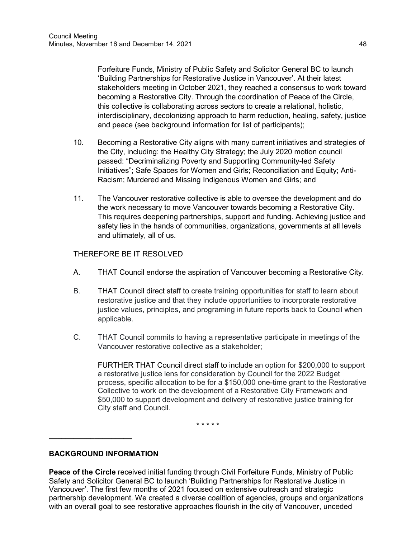Forfeiture Funds, Ministry of Public Safety and Solicitor General BC to launch 'Building Partnerships for Restorative Justice in Vancouver'. At their latest stakeholders meeting in October 2021, they reached a consensus to work toward becoming a Restorative City. Through the coordination of Peace of the Circle, this collective is collaborating across sectors to create a relational, holistic, interdisciplinary, decolonizing approach to harm reduction, healing, safety, justice and peace (see background information for list of participants);

- 10. Becoming a Restorative City aligns with many current initiatives and strategies of the City, including: the Healthy City Strategy; the July 2020 motion council passed: "Decriminalizing Poverty and Supporting Community-led Safety Initiatives"; Safe Spaces for Women and Girls; Reconciliation and Equity; Anti-Racism; Murdered and Missing Indigenous Women and Girls; and
- 11. The Vancouver restorative collective is able to oversee the development and do the work necessary to move Vancouver towards becoming a Restorative City. This requires deepening partnerships, support and funding. Achieving justice and safety lies in the hands of communities, organizations, governments at all levels and ultimately, all of us.

# THEREFORE BE IT RESOLVED

- A. THAT Council endorse the aspiration of Vancouver becoming a Restorative City.
- B. THAT Council direct staff to create training opportunities for staff to learn about restorative justice and that they include opportunities to incorporate restorative justice values, principles, and programing in future reports back to Council when applicable.
- C. THAT Council commits to having a representative participate in meetings of the Vancouver restorative collective as a stakeholder;

FURTHER THAT Council direct staff to include an option for \$200,000 to support a restorative justice lens for consideration by Council for the 2022 Budget process, specific allocation to be for a \$150,000 one-time grant to the Restorative Collective to work on the development of a Restorative City Framework and \$50,000 to support development and delivery of restorative justice training for City staff and Council.

\* \* \* \* \*

## **BACKGROUND INFORMATION**

**\_\_\_\_\_\_\_\_\_\_\_\_\_\_\_\_\_\_\_\_**

**Peace of the Circle** received initial funding through Civil Forfeiture Funds, Ministry of Public Safety and Solicitor General BC to launch 'Building Partnerships for Restorative Justice in Vancouver'. The first few months of 2021 focused on extensive outreach and strategic partnership development. We created a diverse coalition of agencies, groups and organizations with an overall goal to see restorative approaches flourish in the city of Vancouver, unceded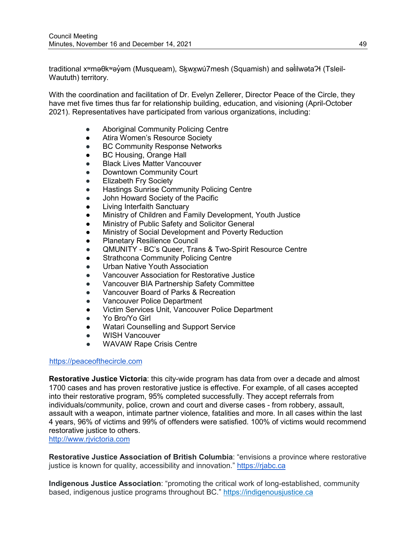traditional xʷməθkʷəỷəm (Musqueam), S<u>k</u>wx̯wú7mesh (Squamish) and səĺilwətaʔɬ (Tsleil-̓ Waututh) territory.

With the coordination and facilitation of Dr. Evelyn Zellerer, Director Peace of the Circle, they have met five times thus far for relationship building, education, and visioning (April-October 2021). Representatives have participated from various organizations, including:

- Aboriginal Community Policing Centre
- Atira Women's Resource Society
- BC Community Response Networks
- BC Housing, Orange Hall
- **Black Lives Matter Vancouver**
- Downtown Community Court
- **Elizabeth Fry Society**
- **Hastings Sunrise Community Policing Centre**
- John Howard Society of the Pacific
- **Living Interfaith Sanctuary**
- Ministry of Children and Family Development, Youth Justice
- Ministry of Public Safety and Solicitor General
- Ministry of Social Development and Poverty Reduction
- Planetary Resilience Council
- QMUNITY BC's Queer, Trans & Two-Spirit Resource Centre
- **Strathcona Community Policing Centre**
- Urban Native Youth Association
- Vancouver Association for Restorative Justice
- Vancouver BIA Partnership Safety Committee
- Vancouver Board of Parks & Recreation
- Vancouver Police Department
- Victim Services Unit, Vancouver Police Department
- Yo Bro/Yo Girl
- Watari Counselling and Support Service
- WISH Vancouver
- WAVAW Rape Crisis Centre

### [https://peaceofthecircle.com](https://peaceofthecircle.com/)

**Restorative Justice Victoria**: this city-wide program has data from over a decade and almost 1700 cases and has proven restorative justice is effective. For example, of all cases accepted into their restorative program, 95% completed successfully. They accept referrals from individuals/community, police, crown and court and diverse cases - from robbery, assault, assault with a weapon, intimate partner violence, fatalities and more. In all cases within the last 4 years, 96% of victims and 99% of offenders were satisfied. 100% of victims would recommend restorative justice to others.

[http://www.rjvictoria.com](http://www.rjvictoria.com/)

**Restorative Justice Association of British Columbia**: "envisions a province where restorative justice is known for quality, accessibility and innovation." [https://rjabc.ca](https://rjabc.ca/)

**Indigenous Justice Association**: "promoting the critical work of long-established, community based, indigenous justice programs throughout BC." [https://indigenousjustice.ca](https://indigenousjustice.ca/)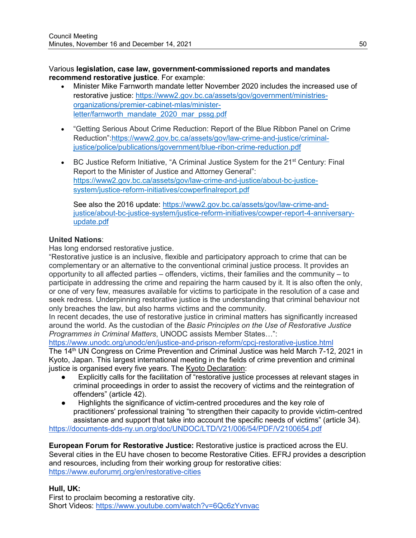### Various **legislation, case law, government-commissioned reports and mandates recommend restorative justice**. For example:

- Minister Mike Farnworth mandate letter November 2020 includes the increased use of restorative justice: [https://www2.gov.bc.ca/assets/gov/government/ministries](https://www2.gov.bc.ca/assets/gov/government/ministries-organizations/premier-cabinet-mlas/minister-letter/farnworth_mandate_2020_mar_pssg.pdf)[organizations/premier-cabinet-mlas/minister](https://www2.gov.bc.ca/assets/gov/government/ministries-organizations/premier-cabinet-mlas/minister-letter/farnworth_mandate_2020_mar_pssg.pdf)[letter/farnworth\\_mandate\\_2020\\_mar\\_pssg.pdf](https://www2.gov.bc.ca/assets/gov/government/ministries-organizations/premier-cabinet-mlas/minister-letter/farnworth_mandate_2020_mar_pssg.pdf)
- "Getting Serious About Crime Reduction: Report of the Blue Ribbon Panel on Crime Reduction"[:https://www2.gov.bc.ca/assets/gov/law-crime-and-justice/criminal](https://www2.gov.bc.ca/assets/gov/law-crime-and-justice/criminal-justice/police/publications/government/blue-ribon-crime-reduction.pdf)[justice/police/publications/government/blue-ribon-crime-reduction.pdf](https://www2.gov.bc.ca/assets/gov/law-crime-and-justice/criminal-justice/police/publications/government/blue-ribon-crime-reduction.pdf)
- BC Justice Reform Initiative, "A Criminal Justice System for the 21<sup>st</sup> Century: Final Report to the Minister of Justice and Attorney General": [https://www2.gov.bc.ca/assets/gov/law-crime-and-justice/about-bc-justice](https://www2.gov.bc.ca/assets/gov/law-crime-and-justice/about-bc-justice-system/justice-reform-initiatives/cowperfinalreport.pdf)[system/justice-reform-initiatives/cowperfinalreport.pdf](https://www2.gov.bc.ca/assets/gov/law-crime-and-justice/about-bc-justice-system/justice-reform-initiatives/cowperfinalreport.pdf)

See also the 2016 update: [https://www2.gov.bc.ca/assets/gov/law-crime-and](https://www2.gov.bc.ca/assets/gov/law-crime-and-justice/about-bc-justice-system/justice-reform-initiatives/cowper-report-4-anniversary-update.pdf)[justice/about-bc-justice-system/justice-reform-initiatives/cowper-report-4-anniversary](https://www2.gov.bc.ca/assets/gov/law-crime-and-justice/about-bc-justice-system/justice-reform-initiatives/cowper-report-4-anniversary-update.pdf)[update.pdf](https://www2.gov.bc.ca/assets/gov/law-crime-and-justice/about-bc-justice-system/justice-reform-initiatives/cowper-report-4-anniversary-update.pdf)

# **United Nations**:

Has long endorsed restorative justice.

"Restorative justice is an inclusive, flexible and participatory approach to crime that can be complementary or an alternative to the conventional criminal justice process. It provides an opportunity to all affected parties – offenders, victims, their families and the community – to participate in addressing the crime and repairing the harm caused by it. It is also often the only, or one of very few, measures available for victims to participate in the resolution of a case and seek redress. Underpinning restorative justice is the understanding that criminal behaviour not only breaches the law, but also harms victims and the community.

In recent decades, the use of restorative justice in criminal matters has significantly increased around the world. As the custodian of the *Basic Principles on the Use of Restorative Justice Programmes in Criminal Matters*, UNODC assists Member States…":

<https://www.unodc.org/unodc/en/justice-and-prison-reform/cpcj-restorative-justice.html>

The 14<sup>th</sup> UN Congress on Crime Prevention and Criminal Justice was held March 7-12, 2021 in Kyoto, Japan. This largest international meeting in the fields of crime prevention and criminal justice is organised every five years. The [Kyoto Declaration:](https://undocs.org/A/CONF.234/L.6)

- Explicitly calls for the facilitation of "restorative justice processes at relevant stages in criminal proceedings in order to assist the recovery of victims and the reintegration of offenders" (article 42).
- Highlights the significance of victim-centred procedures and the key role of practitioners' professional training "to strengthen their capacity to provide victim-centred assistance and support that take into account the specific needs of victims" (article 34).

<https://documents-dds-ny.un.org/doc/UNDOC/LTD/V21/006/54/PDF/V2100654.pdf>

**European Forum for Restorative Justice:** Restorative justice is practiced across the EU. Several cities in the EU have chosen to become Restorative Cities. EFRJ provides a description and resources, including from their working group for restorative cities: <https://www.euforumrj.org/en/restorative-cities>

## **Hull, UK:**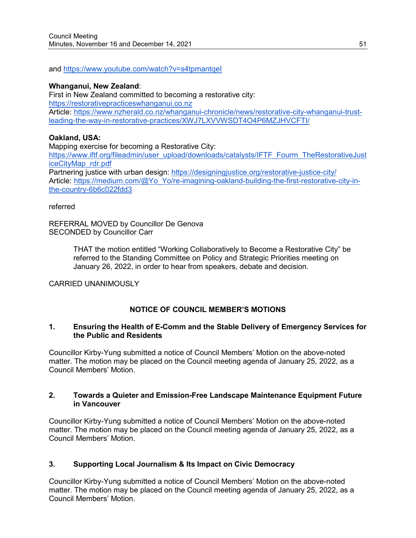and<https://www.youtube.com/watch?v=s4tpmantqeI>

#### **Whanganui, New Zealand**:

First in New Zealand committed to becoming a restorative city: [https://restorativepracticeswhanganui.co.nz](https://restorativepracticeswhanganui.co.nz/) Article: [https://www.nzherald.co.nz/whanganui-chronicle/news/restorative-city-whanganui-trust](https://www.nzherald.co.nz/whanganui-chronicle/news/restorative-city-whanganui-trust-leading-the-way-in-restorative-practices/XWJ7LXVVWSDT4O4P6MZJHVCFTI/)[leading-the-way-in-restorative-practices/XWJ7LXVVWSDT4O4P6MZJHVCFTI/](https://www.nzherald.co.nz/whanganui-chronicle/news/restorative-city-whanganui-trust-leading-the-way-in-restorative-practices/XWJ7LXVVWSDT4O4P6MZJHVCFTI/)

### **Oakland, USA:**

Mapping exercise for becoming a Restorative City: [https://www.iftf.org/fileadmin/user\\_upload/downloads/catalysts/IFTF\\_Fourm\\_TheRestorativeJust](https://www.iftf.org/fileadmin/user_upload/downloads/catalysts/IFTF_Fourm_TheRestorativeJusticeCityMap_rdr.pdf) [iceCityMap\\_rdr.pdf](https://www.iftf.org/fileadmin/user_upload/downloads/catalysts/IFTF_Fourm_TheRestorativeJusticeCityMap_rdr.pdf) Partnering justice with urban design: <https://designingjustice.org/restorative-justice-city/> Article: [https://medium.com/@Yo\\_Yo/re-imagining-oakland-building-the-first-restorative-city-in](https://medium.com/@Yo_Yo/re-imagining-oakland-building-the-first-restorative-city-in-the-country-6b6c022fdd3)[the-country-6b6c022fdd3](https://medium.com/@Yo_Yo/re-imagining-oakland-building-the-first-restorative-city-in-the-country-6b6c022fdd3)

#### referred

REFERRAL MOVED by Councillor De Genova SECONDED by Councillor Carr

> THAT the motion entitled "Working Collaboratively to Become a Restorative City" be referred to the Standing Committee on Policy and Strategic Priorities meeting on January 26, 2022, in order to hear from speakers, debate and decision.

CARRIED UNANIMOUSLY

## **NOTICE OF COUNCIL MEMBER'S MOTIONS**

#### **1. Ensuring the Health of E-Comm and the Stable Delivery of Emergency Services for the Public and Residents**

Councillor Kirby-Yung submitted a notice of Council Members' Motion on the above-noted matter. The motion may be placed on the Council meeting agenda of January 25, 2022, as a Council Members' Motion.

### **2. Towards a Quieter and Emission-Free Landscape Maintenance Equipment Future in Vancouver**

Councillor Kirby-Yung submitted a notice of Council Members' Motion on the above-noted matter. The motion may be placed on the Council meeting agenda of January 25, 2022, as a Council Members' Motion.

#### **3. Supporting Local Journalism & Its Impact on Civic Democracy**

Councillor Kirby-Yung submitted a notice of Council Members' Motion on the above-noted matter. The motion may be placed on the Council meeting agenda of January 25, 2022, as a Council Members' Motion.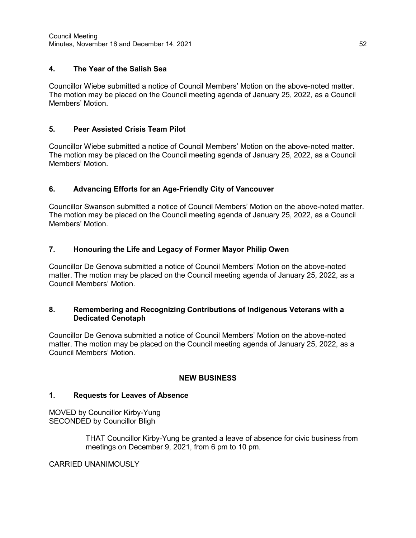### **4. The Year of the Salish Sea**

Councillor Wiebe submitted a notice of Council Members' Motion on the above-noted matter. The motion may be placed on the Council meeting agenda of January 25, 2022, as a Council Members' Motion.

### **5. Peer Assisted Crisis Team Pilot**

Councillor Wiebe submitted a notice of Council Members' Motion on the above-noted matter. The motion may be placed on the Council meeting agenda of January 25, 2022, as a Council Members' Motion.

## **6. Advancing Efforts for an Age-Friendly City of Vancouver**

Councillor Swanson submitted a notice of Council Members' Motion on the above-noted matter. The motion may be placed on the Council meeting agenda of January 25, 2022, as a Council Members' Motion.

### **7. Honouring the Life and Legacy of Former Mayor Philip Owen**

Councillor De Genova submitted a notice of Council Members' Motion on the above-noted matter. The motion may be placed on the Council meeting agenda of January 25, 2022, as a Council Members' Motion.

#### **8. Remembering and Recognizing Contributions of Indigenous Veterans with a Dedicated Cenotaph**

Councillor De Genova submitted a notice of Council Members' Motion on the above-noted matter. The motion may be placed on the Council meeting agenda of January 25, 2022, as a Council Members' Motion.

#### **NEW BUSINESS**

#### **1. Requests for Leaves of Absence**

MOVED by Councillor Kirby-Yung SECONDED by Councillor Bligh

> THAT Councillor Kirby-Yung be granted a leave of absence for civic business from meetings on December 9, 2021, from 6 pm to 10 pm.

CARRIED UNANIMOUSLY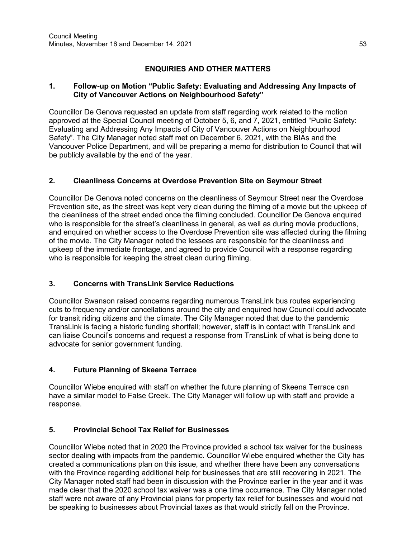# **ENQUIRIES AND OTHER MATTERS**

## **1. Follow-up on Motion "Public Safety: Evaluating and Addressing Any Impacts of City of Vancouver Actions on Neighbourhood Safety"**

Councillor De Genova requested an update from staff regarding work related to the motion approved at the Special Council meeting of October 5, 6, and 7, 2021, entitled "Public Safety: Evaluating and Addressing Any Impacts of City of Vancouver Actions on Neighbourhood Safety". The City Manager noted staff met on December 6, 2021, with the BIAs and the Vancouver Police Department, and will be preparing a memo for distribution to Council that will be publicly available by the end of the year.

# **2. Cleanliness Concerns at Overdose Prevention Site on Seymour Street**

Councillor De Genova noted concerns on the cleanliness of Seymour Street near the Overdose Prevention site, as the street was kept very clean during the filming of a movie but the upkeep of the cleanliness of the street ended once the filming concluded. Councillor De Genova enquired who is responsible for the street's cleanliness in general, as well as during movie productions, and enquired on whether access to the Overdose Prevention site was affected during the filming of the movie. The City Manager noted the lessees are responsible for the cleanliness and upkeep of the immediate frontage, and agreed to provide Council with a response regarding who is responsible for keeping the street clean during filming.

# **3. Concerns with TransLink Service Reductions**

Councillor Swanson raised concerns regarding numerous TransLink bus routes experiencing cuts to frequency and/or cancellations around the city and enquired how Council could advocate for transit riding citizens and the climate. The City Manager noted that due to the pandemic TransLink is facing a historic funding shortfall; however, staff is in contact with TransLink and can liaise Council's concerns and request a response from TransLink of what is being done to advocate for senior government funding.

# **4. Future Planning of Skeena Terrace**

Councillor Wiebe enquired with staff on whether the future planning of Skeena Terrace can have a similar model to False Creek. The City Manager will follow up with staff and provide a response.

# **5. Provincial School Tax Relief for Businesses**

Councillor Wiebe noted that in 2020 the Province provided a school tax waiver for the business sector dealing with impacts from the pandemic. Councillor Wiebe enquired whether the City has created a communications plan on this issue, and whether there have been any conversations with the Province regarding additional help for businesses that are still recovering in 2021. The City Manager noted staff had been in discussion with the Province earlier in the year and it was made clear that the 2020 school tax waiver was a one time occurrence. The City Manager noted staff were not aware of any Provincial plans for property tax relief for businesses and would not be speaking to businesses about Provincial taxes as that would strictly fall on the Province.